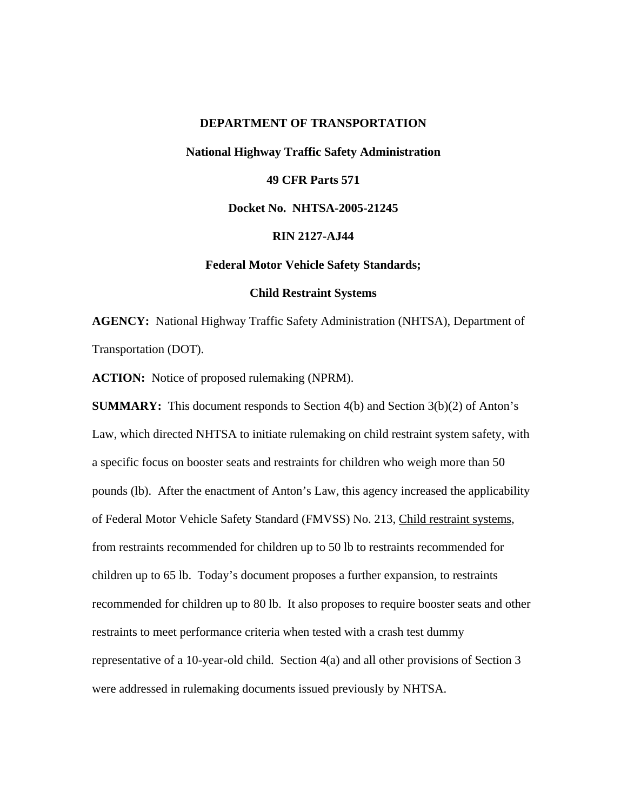## **DEPARTMENT OF TRANSPORTATION**

**National Highway Traffic Safety Administration** 

# **49 CFR Parts 571**

# **Docket No. NHTSA-2005-21245**

# **RIN 2127-AJ44**

## **Federal Motor Vehicle Safety Standards;**

# **Child Restraint Systems**

**AGENCY:** National Highway Traffic Safety Administration (NHTSA), Department of Transportation (DOT).

**ACTION:** Notice of proposed rulemaking (NPRM).

**SUMMARY:** This document responds to Section 4(b) and Section 3(b)(2) of Anton's Law, which directed NHTSA to initiate rulemaking on child restraint system safety, with a specific focus on booster seats and restraints for children who weigh more than 50 pounds (lb). After the enactment of Anton's Law, this agency increased the applicability of Federal Motor Vehicle Safety Standard (FMVSS) No. 213, Child restraint systems, from restraints recommended for children up to 50 lb to restraints recommended for children up to 65 lb. Today's document proposes a further expansion, to restraints recommended for children up to 80 lb. It also proposes to require booster seats and other restraints to meet performance criteria when tested with a crash test dummy representative of a 10-year-old child. Section 4(a) and all other provisions of Section 3 were addressed in rulemaking documents issued previously by NHTSA.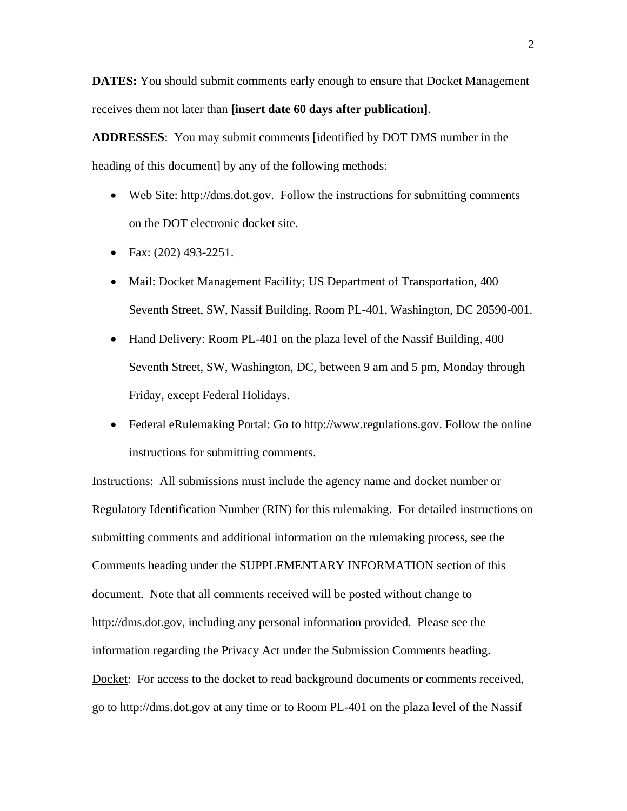**DATES:** You should submit comments early enough to ensure that Docket Management receives them not later than **[insert date 60 days after publication]**.

**ADDRESSES**: You may submit comments [identified by DOT DMS number in the heading of this document] by any of the following methods:

- Web Site: [http://dms.dot.gov.](http://dms.dot.gov/) Follow the instructions for submitting comments on the DOT electronic docket site.
- Fax: (202) 493-2251.
- Mail: Docket Management Facility; US Department of Transportation, 400 Seventh Street, SW, Nassif Building, Room PL-401, Washington, DC 20590-001.
- Hand Delivery: Room PL-401 on the plaza level of the Nassif Building, 400 Seventh Street, SW, Washington, DC, between 9 am and 5 pm, Monday through Friday, except Federal Holidays.
- Federal eRulemaking Portal: Go to [http://www.regulations.gov.](http://www.regulations.gov/) Follow the online instructions for submitting comments.

Instructions: All submissions must include the agency name and docket number or Regulatory Identification Number (RIN) for this rulemaking. For detailed instructions on submitting comments and additional information on the rulemaking process, see the Comments heading under the SUPPLEMENTARY INFORMATION section of this document. Note that all comments received will be posted without change to [http://dms.dot.gov](http://dms.dot.gov/), including any personal information provided. Please see the information regarding the Privacy Act under the Submission Comments heading. Docket: For access to the docket to read background documents or comments received, go to [http://dms.dot.gov](http://dms.dot.gov/) at any time or to Room PL-401 on the plaza level of the Nassif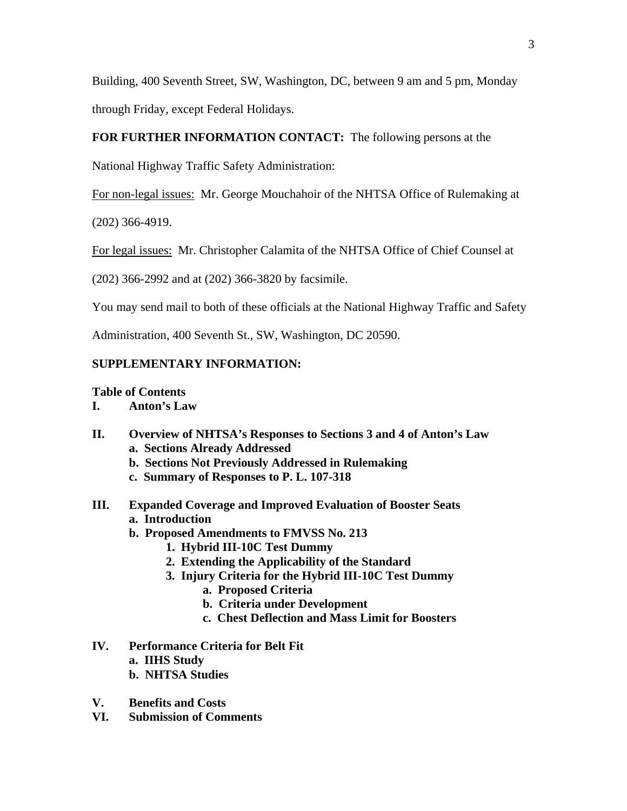Building, 400 Seventh Street, SW, Washington, DC, between 9 am and 5 pm, Monday through Friday, except Federal Holidays.

# **FOR FURTHER INFORMATION CONTACT:** The following persons at the

National Highway Traffic Safety Administration:

For non-legal issues: Mr. George Mouchahoir of the NHTSA Office of Rulemaking at

(202) 366-4919.

For legal issues: Mr. Christopher Calamita of the NHTSA Office of Chief Counsel at

(202) 366-2992 and at (202) 366-3820 by facsimile.

You may send mail to both of these officials at the National Highway Traffic and Safety

Administration, 400 Seventh St., SW, Washington, DC 20590.

# **SUPPLEMENTARY INFORMATION:**

# **Table of Contents**

- **I. Anton's Law**
- **II. Overview of NHTSA's Responses to Sections 3 and 4 of Anton's Law a. Sections Already Addressed** 
	- **b. Sections Not Previously Addressed in Rulemaking**
	- **c. Summary of Responses to P. L. 107-318**
- **III. Expanded Coverage and Improved Evaluation of Booster Seats a. Introduction** 
	- **b. Proposed Amendments to FMVSS No. 213** 
		- **1. Hybrid III-10C Test Dummy**
		- **2. Extending the Applicability of the Standard**
		- **3. Injury Criteria for the Hybrid III-10C Test Dummy** 
			- **a. Proposed Criteria**
			- **b. Criteria under Development**
			- **c. Chest Deflection and Mass Limit for Boosters**
- **IV. Performance Criteria for Belt Fit** 
	- **a. IIHS Study**
	- **b. NHTSA Studies**
- **V. Benefits and Costs**
- **VI. Submission of Comments**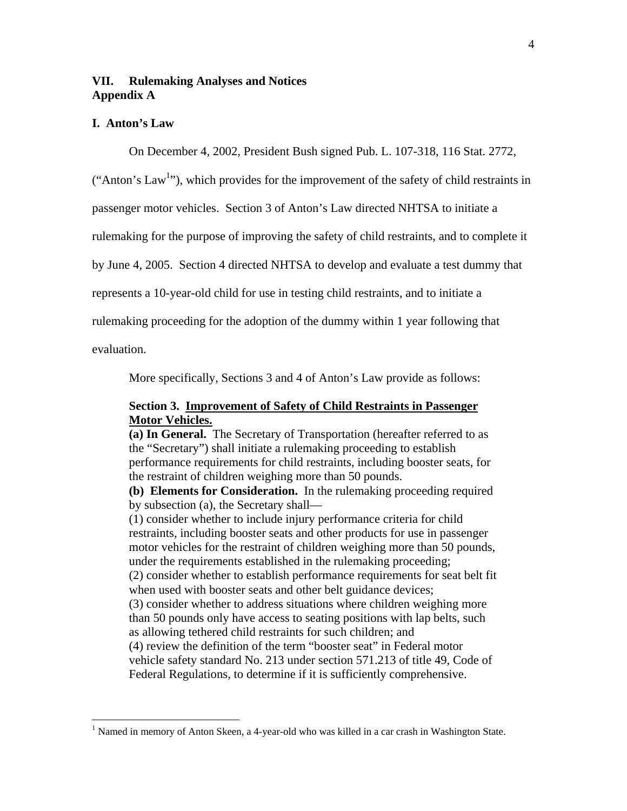# **VII. Rulemaking Analyses and Notices Appendix A**

# **I. Anton's Law**

On December 4, 2002, President Bush signed Pub. L. 107-318, 116 Stat. 2772,

("Anton's Law<sup>1</sup>"), which provides for the improvement of the safety of child restraints in

passenger motor vehicles. Section 3 of Anton's Law directed NHTSA to initiate a

rulemaking for the purpose of improving the safety of child restraints, and to complete it

by June 4, 2005. Section 4 directed NHTSA to develop and evaluate a test dummy that

represents a 10-year-old child for use in testing child restraints, and to initiate a

rulemaking proceeding for the adoption of the dummy within 1 year following that

evaluation.

 $\overline{a}$ 

More specifically, Sections 3 and 4 of Anton's Law provide as follows:

# **Section 3. Improvement of Safety of Child Restraints in Passenger Motor Vehicles.**

**(a) In General.** The Secretary of Transportation (hereafter referred to as the "Secretary") shall initiate a rulemaking proceeding to establish performance requirements for child restraints, including booster seats, for the restraint of children weighing more than 50 pounds.

**(b) Elements for Consideration.** In the rulemaking proceeding required by subsection (a), the Secretary shall—

(1) consider whether to include injury performance criteria for child restraints, including booster seats and other products for use in passenger motor vehicles for the restraint of children weighing more than 50 pounds, under the requirements established in the rulemaking proceeding; (2) consider whether to establish performance requirements for seat belt fit when used with booster seats and other belt guidance devices; (3) consider whether to address situations where children weighing more than 50 pounds only have access to seating positions with lap belts, such as allowing tethered child restraints for such children; and (4) review the definition of the term "booster seat" in Federal motor vehicle safety standard No. 213 under section 571.213 of title 49, Code of Federal Regulations, to determine if it is sufficiently comprehensive.

<span id="page-3-0"></span><sup>&</sup>lt;sup>1</sup> Named in memory of Anton Skeen, a 4-year-old who was killed in a car crash in Washington State.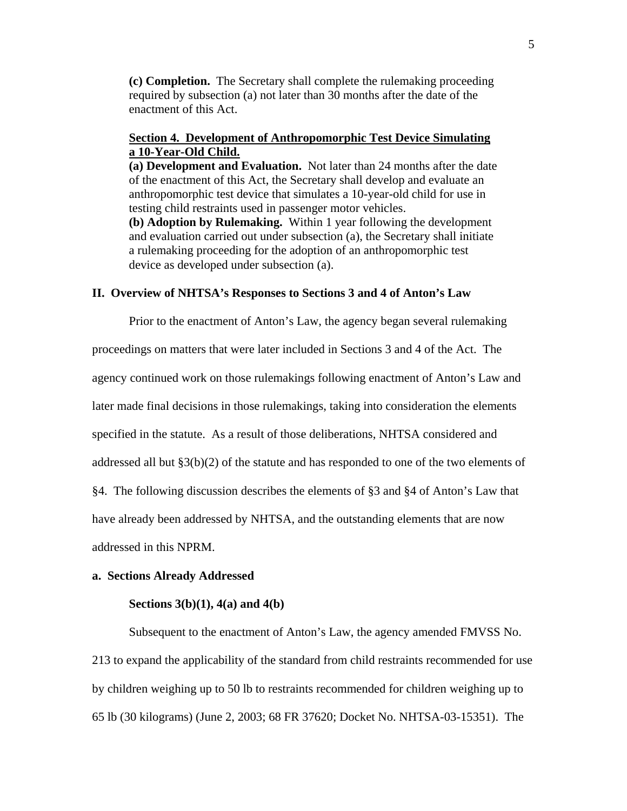**(c) Completion.** The Secretary shall complete the rulemaking proceeding required by subsection (a) not later than 30 months after the date of the enactment of this Act.

# **Section 4. Development of Anthropomorphic Test Device Simulating a 10-Year-Old Child.**

**(a) Development and Evaluation.** Not later than 24 months after the date of the enactment of this Act, the Secretary shall develop and evaluate an anthropomorphic test device that simulates a 10-year-old child for use in testing child restraints used in passenger motor vehicles.

**(b) Adoption by Rulemaking.** Within 1 year following the development and evaluation carried out under subsection (a), the Secretary shall initiate a rulemaking proceeding for the adoption of an anthropomorphic test device as developed under subsection (a).

# **II. Overview of NHTSA's Responses to Sections 3 and 4 of Anton's Law**

Prior to the enactment of Anton's Law, the agency began several rulemaking proceedings on matters that were later included in Sections 3 and 4 of the Act. The agency continued work on those rulemakings following enactment of Anton's Law and later made final decisions in those rulemakings, taking into consideration the elements specified in the statute. As a result of those deliberations, NHTSA considered and addressed all but §3(b)(2) of the statute and has responded to one of the two elements of §4. The following discussion describes the elements of §3 and §4 of Anton's Law that have already been addressed by NHTSA, and the outstanding elements that are now addressed in this NPRM.

#### **a. Sections Already Addressed**

# **Sections 3(b)(1), 4(a) and 4(b)**

Subsequent to the enactment of Anton's Law, the agency amended FMVSS No. 213 to expand the applicability of the standard from child restraints recommended for use by children weighing up to 50 lb to restraints recommended for children weighing up to 65 lb (30 kilograms) (June 2, 2003; 68 FR 37620; Docket No. NHTSA-03-15351). The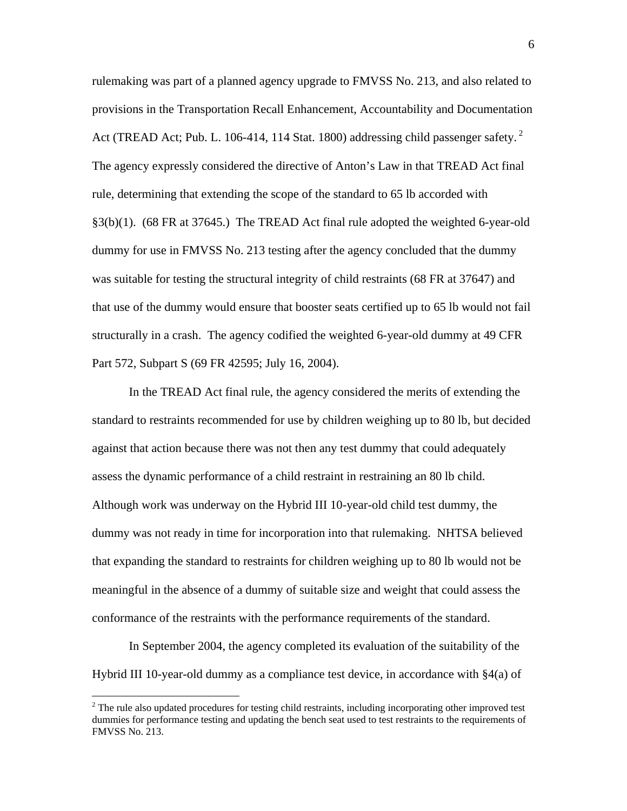rulemaking was part of a planned agency upgrade to FMVSS No. 213, and also related to provisions in the Transportation Recall Enhancement, Accountability and Documentation Act (TREAD Act; Pub. L. 106-414, 114 Stat. 1800) addressing child passenger safety.  $2^2$ The agency expressly considered the directive of Anton's Law in that TREAD Act final rule, determining that extending the scope of the standard to 65 lb accorded with §3(b)(1). (68 FR at 37645.) The TREAD Act final rule adopted the weighted 6-year-old dummy for use in FMVSS No. 213 testing after the agency concluded that the dummy was suitable for testing the structural integrity of child restraints (68 FR at 37647) and that use of the dummy would ensure that booster seats certified up to 65 lb would not fail structurally in a crash. The agency codified the weighted 6-year-old dummy at 49 CFR Part 572, Subpart S (69 FR 42595; July 16, 2004).

In the TREAD Act final rule, the agency considered the merits of extending the standard to restraints recommended for use by children weighing up to 80 lb, but decided against that action because there was not then any test dummy that could adequately assess the dynamic performance of a child restraint in restraining an 80 lb child. Although work was underway on the Hybrid III 10-year-old child test dummy, the dummy was not ready in time for incorporation into that rulemaking. NHTSA believed that expanding the standard to restraints for children weighing up to 80 lb would not be meaningful in the absence of a dummy of suitable size and weight that could assess the conformance of the restraints with the performance requirements of the standard.

In September 2004, the agency completed its evaluation of the suitability of the Hybrid III 10-year-old dummy as a compliance test device, in accordance with §4(a) of

1

<span id="page-5-0"></span> $2^2$  The rule also updated procedures for testing child restraints, including incorporating other improved test dummies for performance testing and updating the bench seat used to test restraints to the requirements of FMVSS No. 213.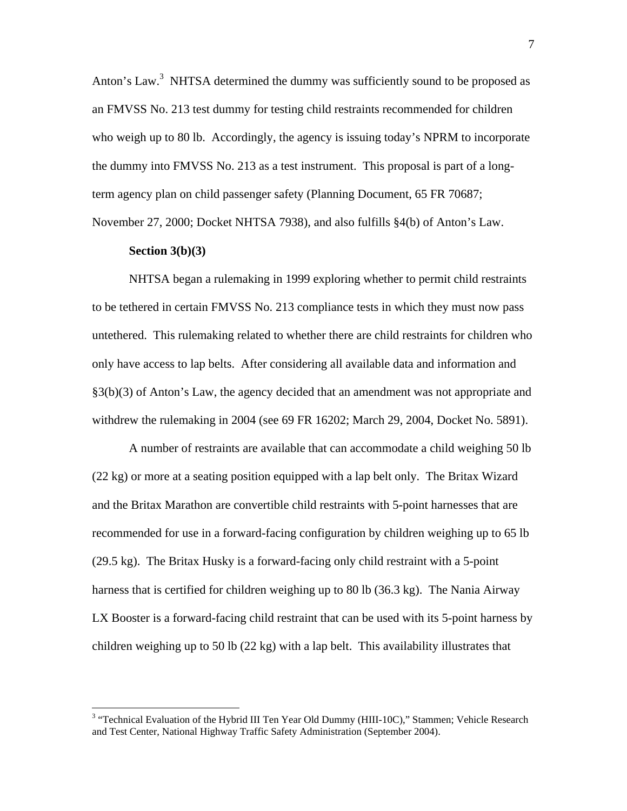Anton's Law.<sup>[3](#page-6-0)</sup> NHTSA determined the dummy was sufficiently sound to be proposed as an FMVSS No. 213 test dummy for testing child restraints recommended for children who weigh up to 80 lb. Accordingly, the agency is issuing today's NPRM to incorporate the dummy into FMVSS No. 213 as a test instrument. This proposal is part of a longterm agency plan on child passenger safety (Planning Document, 65 FR 70687; November 27, 2000; Docket NHTSA 7938), and also fulfills §4(b) of Anton's Law.

### **Section 3(b)(3)**

 $\overline{a}$ 

NHTSA began a rulemaking in 1999 exploring whether to permit child restraints to be tethered in certain FMVSS No. 213 compliance tests in which they must now pass untethered. This rulemaking related to whether there are child restraints for children who only have access to lap belts. After considering all available data and information and §3(b)(3) of Anton's Law, the agency decided that an amendment was not appropriate and withdrew the rulemaking in 2004 (see 69 FR 16202; March 29, 2004, Docket No. 5891).

A number of restraints are available that can accommodate a child weighing 50 lb (22 kg) or more at a seating position equipped with a lap belt only. The Britax Wizard and the Britax Marathon are convertible child restraints with 5-point harnesses that are recommended for use in a forward-facing configuration by children weighing up to 65 lb (29.5 kg). The Britax Husky is a forward-facing only child restraint with a 5-point harness that is certified for children weighing up to 80 lb (36.3 kg). The Nania Airway LX Booster is a forward-facing child restraint that can be used with its 5-point harness by children weighing up to 50 lb (22 kg) with a lap belt. This availability illustrates that

<span id="page-6-0"></span><sup>&</sup>lt;sup>3</sup> "Technical Evaluation of the Hybrid III Ten Year Old Dummy (HIII-10C)," Stammen; Vehicle Research and Test Center, National Highway Traffic Safety Administration (September 2004).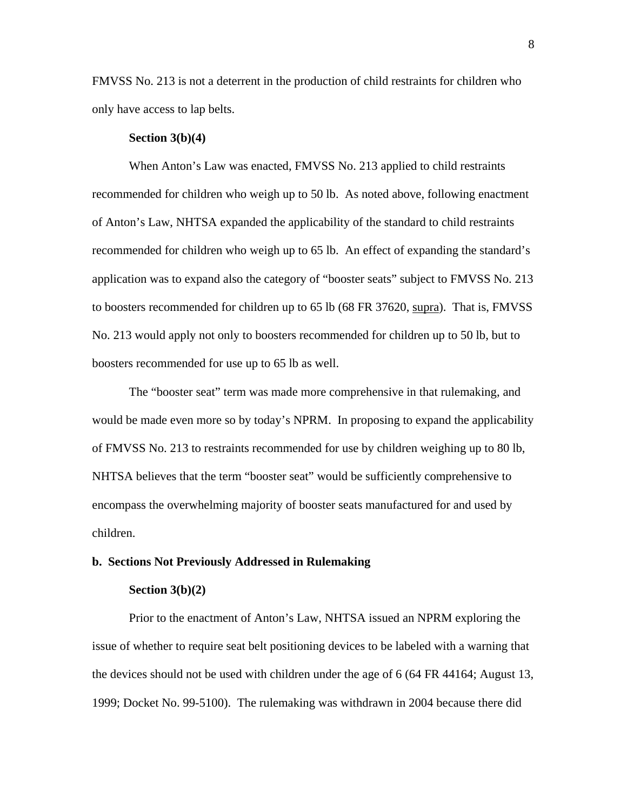FMVSS No. 213 is not a deterrent in the production of child restraints for children who only have access to lap belts.

#### **Section 3(b)(4)**

When Anton's Law was enacted, FMVSS No. 213 applied to child restraints recommended for children who weigh up to 50 lb. As noted above, following enactment of Anton's Law, NHTSA expanded the applicability of the standard to child restraints recommended for children who weigh up to 65 lb. An effect of expanding the standard's application was to expand also the category of "booster seats" subject to FMVSS No. 213 to boosters recommended for children up to 65 lb (68 FR 37620, supra). That is, FMVSS No. 213 would apply not only to boosters recommended for children up to 50 lb, but to boosters recommended for use up to 65 lb as well.

The "booster seat" term was made more comprehensive in that rulemaking, and would be made even more so by today's NPRM. In proposing to expand the applicability of FMVSS No. 213 to restraints recommended for use by children weighing up to 80 lb, NHTSA believes that the term "booster seat" would be sufficiently comprehensive to encompass the overwhelming majority of booster seats manufactured for and used by children.

#### **b. Sections Not Previously Addressed in Rulemaking**

#### **Section 3(b)(2)**

Prior to the enactment of Anton's Law, NHTSA issued an NPRM exploring the issue of whether to require seat belt positioning devices to be labeled with a warning that the devices should not be used with children under the age of 6 (64 FR 44164; August 13, 1999; Docket No. 99-5100). The rulemaking was withdrawn in 2004 because there did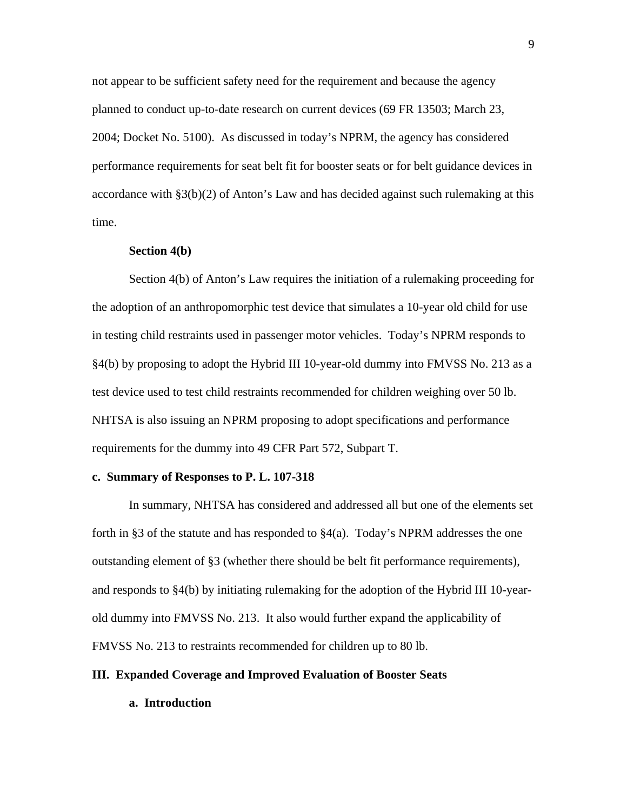not appear to be sufficient safety need for the requirement and because the agency planned to conduct up-to-date research on current devices (69 FR 13503; March 23, 2004; Docket No. 5100). As discussed in today's NPRM, the agency has considered performance requirements for seat belt fit for booster seats or for belt guidance devices in accordance with §3(b)(2) of Anton's Law and has decided against such rulemaking at this time.

# **Section 4(b)**

Section 4(b) of Anton's Law requires the initiation of a rulemaking proceeding for the adoption of an anthropomorphic test device that simulates a 10-year old child for use in testing child restraints used in passenger motor vehicles. Today's NPRM responds to §4(b) by proposing to adopt the Hybrid III 10-year-old dummy into FMVSS No. 213 as a test device used to test child restraints recommended for children weighing over 50 lb. NHTSA is also issuing an NPRM proposing to adopt specifications and performance requirements for the dummy into 49 CFR Part 572, Subpart T.

#### **c. Summary of Responses to P. L. 107-318**

In summary, NHTSA has considered and addressed all but one of the elements set forth in §3 of the statute and has responded to §4(a). Today's NPRM addresses the one outstanding element of §3 (whether there should be belt fit performance requirements), and responds to §4(b) by initiating rulemaking for the adoption of the Hybrid III 10-yearold dummy into FMVSS No. 213. It also would further expand the applicability of FMVSS No. 213 to restraints recommended for children up to 80 lb.

# **III. Expanded Coverage and Improved Evaluation of Booster Seats**

**a. Introduction**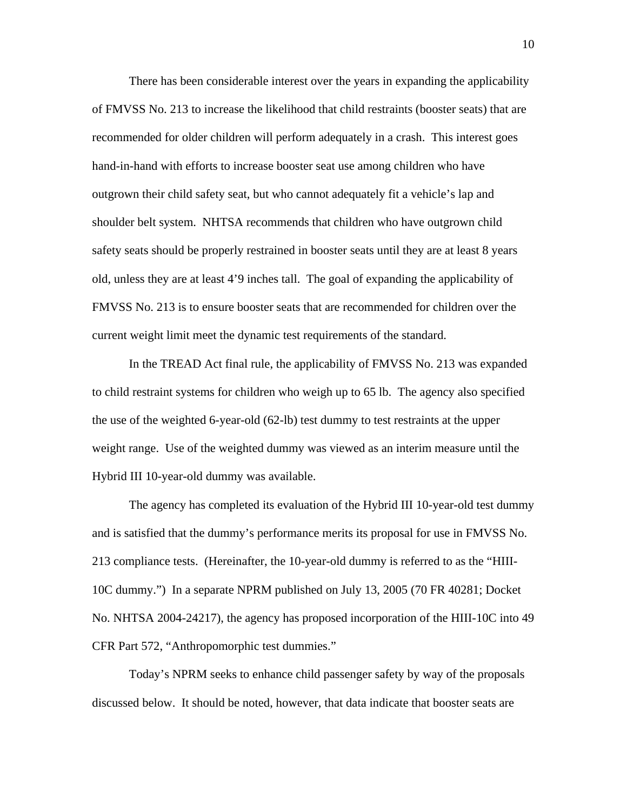There has been considerable interest over the years in expanding the applicability of FMVSS No. 213 to increase the likelihood that child restraints (booster seats) that are recommended for older children will perform adequately in a crash. This interest goes hand-in-hand with efforts to increase booster seat use among children who have outgrown their child safety seat, but who cannot adequately fit a vehicle's lap and shoulder belt system. NHTSA recommends that children who have outgrown child safety seats should be properly restrained in booster seats until they are at least 8 years old, unless they are at least 4'9 inches tall. The goal of expanding the applicability of FMVSS No. 213 is to ensure booster seats that are recommended for children over the current weight limit meet the dynamic test requirements of the standard.

In the TREAD Act final rule, the applicability of FMVSS No. 213 was expanded to child restraint systems for children who weigh up to 65 lb. The agency also specified the use of the weighted 6-year-old (62-lb) test dummy to test restraints at the upper weight range. Use of the weighted dummy was viewed as an interim measure until the Hybrid III 10-year-old dummy was available.

The agency has completed its evaluation of the Hybrid III 10-year-old test dummy and is satisfied that the dummy's performance merits its proposal for use in FMVSS No. 213 compliance tests. (Hereinafter, the 10-year-old dummy is referred to as the "HIII-10C dummy.") In a separate NPRM published on July 13, 2005 (70 FR 40281; Docket No. NHTSA 2004-24217), the agency has proposed incorporation of the HIII-10C into 49 CFR Part 572, "Anthropomorphic test dummies."

Today's NPRM seeks to enhance child passenger safety by way of the proposals discussed below. It should be noted, however, that data indicate that booster seats are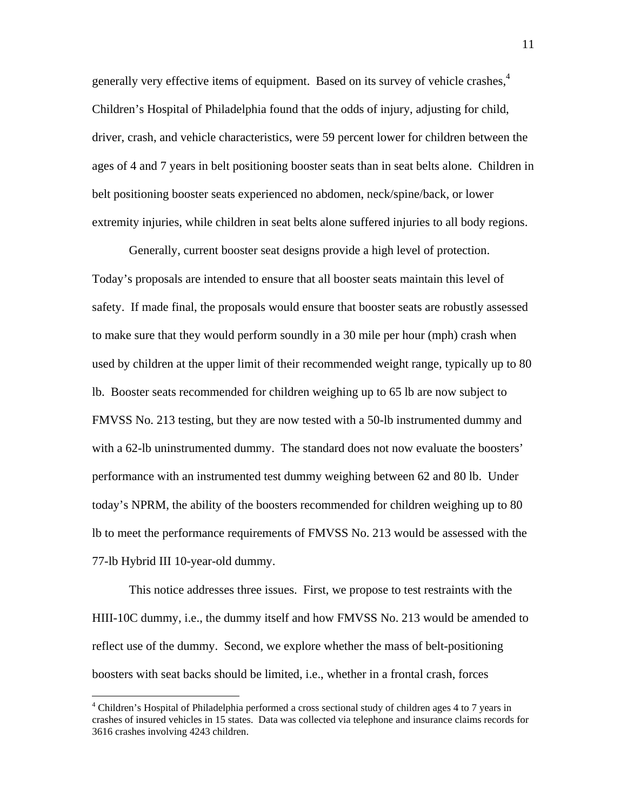generally very effective items of equipment. Based on its survey of vehicle crashes,<sup>4</sup> Children's Hospital of Philadelphia found that the odds of injury, adjusting for child, driver, crash, and vehicle characteristics, were 59 percent lower for children between the ages of 4 and 7 years in belt positioning booster seats than in seat belts alone. Children in belt positioning booster seats experienced no abdomen, neck/spine/back, or lower extremity injuries, while children in seat belts alone suffered injuries to all body regions.

Generally, current booster seat designs provide a high level of protection. Today's proposals are intended to ensure that all booster seats maintain this level of safety. If made final, the proposals would ensure that booster seats are robustly assessed to make sure that they would perform soundly in a 30 mile per hour (mph) crash when used by children at the upper limit of their recommended weight range, typically up to 80 lb. Booster seats recommended for children weighing up to 65 lb are now subject to FMVSS No. 213 testing, but they are now tested with a 50-lb instrumented dummy and with a 62-lb uninstrumented dummy. The standard does not now evaluate the boosters' performance with an instrumented test dummy weighing between 62 and 80 lb. Under today's NPRM, the ability of the boosters recommended for children weighing up to 80 lb to meet the performance requirements of FMVSS No. 213 would be assessed with the 77-lb Hybrid III 10-year-old dummy.

This notice addresses three issues. First, we propose to test restraints with the HIII-10C dummy, i.e., the dummy itself and how FMVSS No. 213 would be amended to reflect use of the dummy. Second, we explore whether the mass of belt-positioning boosters with seat backs should be limited, i.e., whether in a frontal crash, forces

 $\overline{a}$ 

<span id="page-10-0"></span><sup>&</sup>lt;sup>4</sup> Children's Hospital of Philadelphia performed a cross sectional study of children ages 4 to 7 years in crashes of insured vehicles in 15 states. Data was collected via telephone and insurance claims records for 3616 crashes involving 4243 children.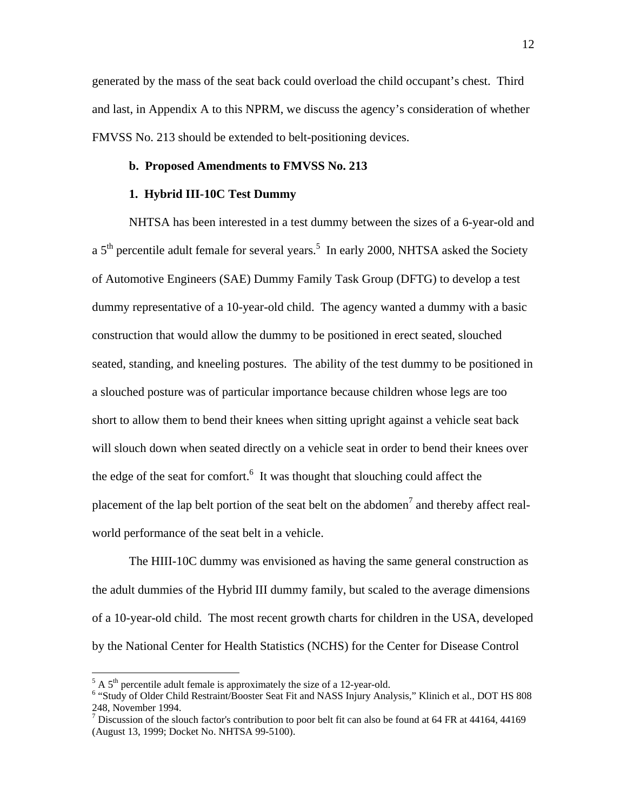generated by the mass of the seat back could overload the child occupant's chest. Third and last, in Appendix A to this NPRM, we discuss the agency's consideration of whether FMVSS No. 213 should be extended to belt-positioning devices.

# **b. Proposed Amendments to FMVSS No. 213**

# **1. Hybrid III-10C Test Dummy**

NHTSA has been interested in a test dummy between the sizes of a 6-year-old and a  $5<sup>th</sup>$  $5<sup>th</sup>$  percentile adult female for several years.<sup>5</sup> In early 2000, NHTSA asked the Society of Automotive Engineers (SAE) Dummy Family Task Group (DFTG) to develop a test dummy representative of a 10-year-old child. The agency wanted a dummy with a basic construction that would allow the dummy to be positioned in erect seated, slouched seated, standing, and kneeling postures. The ability of the test dummy to be positioned in a slouched posture was of particular importance because children whose legs are too short to allow them to bend their knees when sitting upright against a vehicle seat back will slouch down when seated directly on a vehicle seat in order to bend their knees over the edge of the seat for comfort. $6$  It was thought that slouching could affect the placementof the lap belt portion of the seat belt on the abdomen<sup>7</sup> and thereby affect realworld performance of the seat belt in a vehicle.

The HIII-10C dummy was envisioned as having the same general construction as the adult dummies of the Hybrid III dummy family, but scaled to the average dimensions of a 10-year-old child. The most recent growth charts for children in the USA, developed by the National Center for Health Statistics (NCHS) for the Center for Disease Control

1

<span id="page-11-0"></span> $5$  A  $5<sup>th</sup>$  percentile adult female is approximately the size of a 12-year-old.

<span id="page-11-1"></span><sup>&</sup>lt;sup>6</sup> "Study of Older Child Restraint/Booster Seat Fit and NASS Injury Analysis," Klinich et al., DOT HS 808 248, November 1994.

<span id="page-11-2"></span><sup>&</sup>lt;sup>7</sup> Discussion of the slouch factor's contribution to poor belt fit can also be found at 64 FR at 44164, 44169 (August 13, 1999; Docket No. NHTSA 99-5100).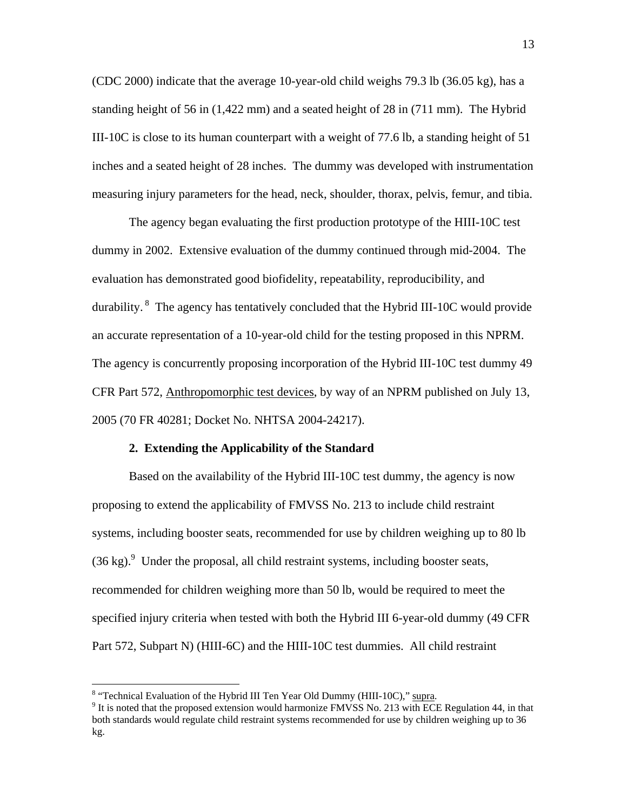(CDC 2000) indicate that the average 10-year-old child weighs 79.3 lb (36.05 kg), has a standing height of 56 in (1,422 mm) and a seated height of 28 in (711 mm). The Hybrid III-10C is close to its human counterpart with a weight of 77.6 lb, a standing height of 51 inches and a seated height of 28 inches. The dummy was developed with instrumentation measuring injury parameters for the head, neck, shoulder, thorax, pelvis, femur, and tibia.

 The agency began evaluating the first production prototype of the HIII-10C test dummy in 2002. Extensive evaluation of the dummy continued through mid-2004. The evaluation has demonstrated good biofidelity, repeatability, reproducibility, and durability. <sup>8</sup> The agency has tentatively concluded that the Hybrid III-10C would provide an accurate representation of a 10-year-old child for the testing proposed in this NPRM. The agency is concurrently proposing incorporation of the Hybrid III-10C test dummy 49 CFR Part 572, Anthropomorphic test devices, by way of an NPRM published on July 13, 2005 (70 FR 40281; Docket No. NHTSA 2004-24217).

#### **2. Extending the Applicability of the Standard**

Based on the availability of the Hybrid III-10C test dummy, the agency is now proposing to extend the applicability of FMVSS No. 213 to include child restraint systems, including booster seats, recommended for use by children weighing up to 80 lb  $(36 \text{ kg})$ . Under the proposal, all child restraint systems, including booster seats, recommended for children weighing more than 50 lb, would be required to meet the specified injury criteria when tested with both the Hybrid III 6-year-old dummy (49 CFR Part 572, Subpart N) (HIII-6C) and the HIII-10C test dummies. All child restraint

 $\overline{a}$ 

<span id="page-12-0"></span><sup>&</sup>lt;sup>8</sup> "Technical Evaluation of the Hybrid III Ten Year Old Dummy (HIII-10C)," supra.

<span id="page-12-1"></span> $\rm{I}^9$  It is noted that the proposed extension would harmonize FMVSS No. 213 with ECE Regulation 44, in that both standards would regulate child restraint systems recommended for use by children weighing up to 36 kg.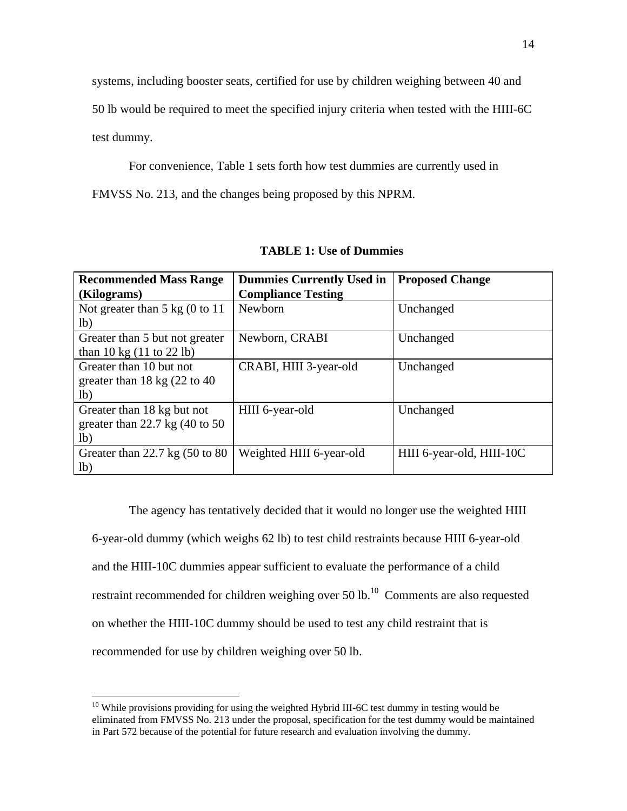systems, including booster seats, certified for use by children weighing between 40 and

50 lb would be required to meet the specified injury criteria when tested with the HIII-6C

test dummy.

 $\overline{a}$ 

For convenience, Table 1 sets forth how test dummies are currently used in

FMVSS No. 213, and the changes being proposed by this NPRM.

| <b>Recommended Mass Range</b>               | <b>Dummies Currently Used in</b> | <b>Proposed Change</b>    |  |
|---------------------------------------------|----------------------------------|---------------------------|--|
| (Kilograms)                                 | <b>Compliance Testing</b>        |                           |  |
| Not greater than $5 \text{ kg}$ (0 to 11)   | Newborn                          | Unchanged                 |  |
| 1 <sub>b</sub>                              |                                  |                           |  |
| Greater than 5 but not greater              | Newborn, CRABI                   | Unchanged                 |  |
| than 10 kg $(11 \text{ to } 22 \text{ lb})$ |                                  |                           |  |
| Greater than 10 but not                     | CRABI, HIII 3-year-old           | Unchanged                 |  |
| greater than 18 kg $(22 \text{ to } 40)$    |                                  |                           |  |
| 1 <sub>b</sub>                              |                                  |                           |  |
| Greater than 18 kg but not                  | HIII 6-year-old                  | Unchanged                 |  |
| greater than 22.7 kg $(40 \text{ to } 50)$  |                                  |                           |  |
| lb)                                         |                                  |                           |  |
| Greater than 22.7 kg $(50 \text{ to } 80)$  | Weighted HIII 6-year-old         | HIII 6-year-old, HIII-10C |  |
| lb)                                         |                                  |                           |  |

**TABLE 1: Use of Dummies** 

The agency has tentatively decided that it would no longer use the weighted HIII 6-year-old dummy (which weighs 62 lb) to test child restraints because HIII 6-year-old and the HIII-10C dummies appear sufficient to evaluate the performance of a child restraint recommended for children weighing over  $50$  lb.<sup>10</sup> Comments are also requested on whether the HIII-10C dummy should be used to test any child restraint that is recommended for use by children weighing over 50 lb.

<span id="page-13-0"></span><sup>&</sup>lt;sup>10</sup> While provisions providing for using the weighted Hybrid III-6C test dummy in testing would be eliminated from FMVSS No. 213 under the proposal, specification for the test dummy would be maintained in Part 572 because of the potential for future research and evaluation involving the dummy.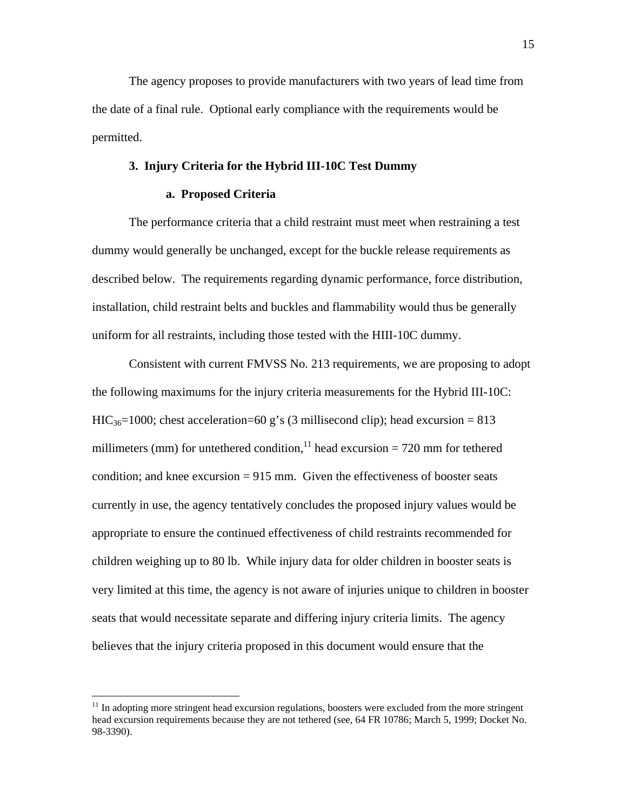The agency proposes to provide manufacturers with two years of lead time from the date of a final rule. Optional early compliance with the requirements would be permitted.

## **3. Injury Criteria for the Hybrid III-10C Test Dummy**

# **a. Proposed Criteria**

The performance criteria that a child restraint must meet when restraining a test dummy would generally be unchanged, except for the buckle release requirements as described below. The requirements regarding dynamic performance, force distribution, installation, child restraint belts and buckles and flammability would thus be generally uniform for all restraints, including those tested with the HIII-10C dummy.

Consistent with current FMVSS No. 213 requirements, we are proposing to adopt the following maximums for the injury criteria measurements for the Hybrid III-10C:  $HIC_{36}=1000$ ; chest acceleration=60 g's (3 millisecond clip); head excursion = 813 millimeters (mm) for untethered condition,<sup>11</sup> head excursion = 720 mm for tethered condition; and knee excursion  $= 915$  mm. Given the effectiveness of booster seats currently in use, the agency tentatively concludes the proposed injury values would be appropriate to ensure the continued effectiveness of child restraints recommended for children weighing up to 80 lb. While injury data for older children in booster seats is very limited at this time, the agency is not aware of injuries unique to children in booster seats that would necessitate separate and differing injury criteria limits. The agency believes that the injury criteria proposed in this document would ensure that the

 $\overline{a}$ 

<span id="page-14-0"></span> $11$  In adopting more stringent head excursion regulations, boosters were excluded from the more stringent head excursion requirements because they are not tethered (see, 64 FR 10786; March 5, 1999; Docket No. 98-3390).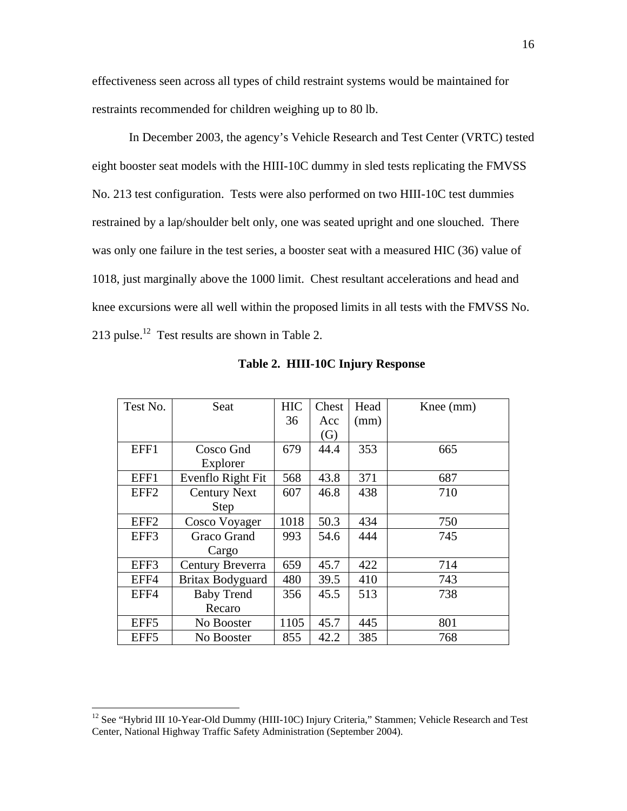effectiveness seen across all types of child restraint systems would be maintained for restraints recommended for children weighing up to 80 lb.

In December 2003, the agency's Vehicle Research and Test Center (VRTC) tested eight booster seat models with the HIII-10C dummy in sled tests replicating the FMVSS No. 213 test configuration. Tests were also performed on two HIII-10C test dummies restrained by a lap/shoulder belt only, one was seated upright and one slouched. There was only one failure in the test series, a booster seat with a measured HIC (36) value of 1018, just marginally above the 1000 limit. Chest resultant accelerations and head and knee excursions were all well within the proposed limits in all tests with the FMVSS No. 213 pulse.<sup>12</sup> Test results are shown in Table 2.

| Test No.         | Seat                | <b>HIC</b> | Chest | Head | Knee (mm) |
|------------------|---------------------|------------|-------|------|-----------|
|                  |                     | 36         | Acc   | (mm) |           |
|                  |                     |            | (G)   |      |           |
| EFF1             | Cosco Gnd           | 679        | 44.4  | 353  | 665       |
|                  | Explorer            |            |       |      |           |
| EFF1             | Evenflo Right Fit   | 568        | 43.8  | 371  | 687       |
| EFF <sub>2</sub> | <b>Century Next</b> | 607        | 46.8  | 438  | 710       |
|                  | <b>Step</b>         |            |       |      |           |
| EFF <sub>2</sub> | Cosco Voyager       | 1018       | 50.3  | 434  | 750       |
| EFF3             | Graco Grand         | 993        | 54.6  | 444  | 745       |
|                  | Cargo               |            |       |      |           |
| EFF3             | Century Breverra    | 659        | 45.7  | 422  | 714       |
| EFF4             | Britax Bodyguard    | 480        | 39.5  | 410  | 743       |
| EFF4             | <b>Baby Trend</b>   | 356        | 45.5  | 513  | 738       |
|                  | Recaro              |            |       |      |           |
| EFF5             | No Booster          | 1105       | 45.7  | 445  | 801       |
| EFF <sub>5</sub> | No Booster          | 855        | 42.2  | 385  | 768       |

**Table 2. HIII-10C Injury Response** 

 $\overline{a}$ 

<span id="page-15-0"></span><sup>&</sup>lt;sup>12</sup> See "Hybrid III 10-Year-Old Dummy (HIII-10C) Injury Criteria," Stammen; Vehicle Research and Test Center, National Highway Traffic Safety Administration (September 2004).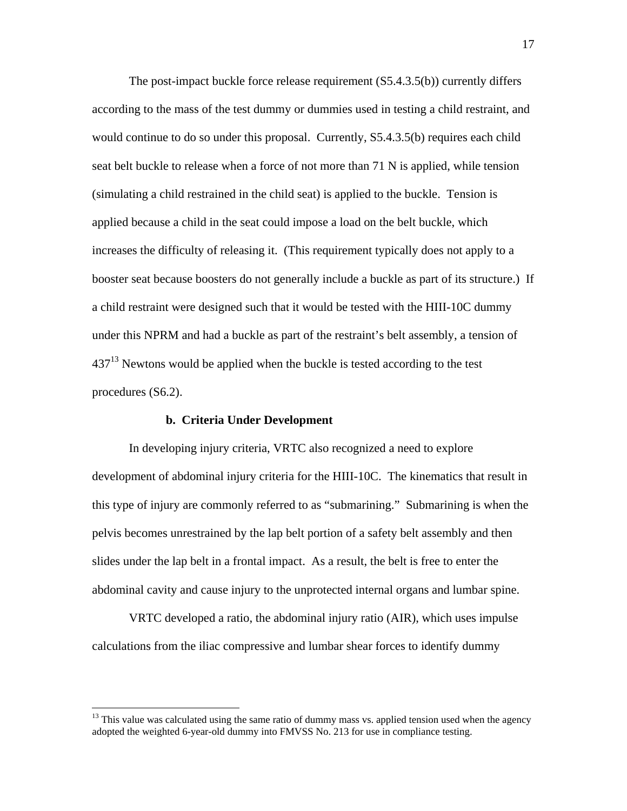The post-impact buckle force release requirement (S5.4.3.5(b)) currently differs according to the mass of the test dummy or dummies used in testing a child restraint, and would continue to do so under this proposal. Currently, S5.4.3.5(b) requires each child seat belt buckle to release when a force of not more than 71 N is applied, while tension (simulating a child restrained in the child seat) is applied to the buckle. Tension is applied because a child in the seat could impose a load on the belt buckle, which increases the difficulty of releasing it. (This requirement typically does not apply to a booster seat because boosters do not generally include a buckle as part of its structure.) If a child restraint were designed such that it would be tested with the HIII-10C dummy under this NPRM and had a buckle as part of the restraint's belt assembly, a tension of  $437<sup>13</sup>$  Newtons would be applied when the buckle is tested according to the test procedures (S6.2).

# **b. Criteria Under Development**

 $\overline{a}$ 

In developing injury criteria, VRTC also recognized a need to explore development of abdominal injury criteria for the HIII-10C. The kinematics that result in this type of injury are commonly referred to as "submarining." Submarining is when the pelvis becomes unrestrained by the lap belt portion of a safety belt assembly and then slides under the lap belt in a frontal impact. As a result, the belt is free to enter the abdominal cavity and cause injury to the unprotected internal organs and lumbar spine.

VRTC developed a ratio, the abdominal injury ratio (AIR), which uses impulse calculations from the iliac compressive and lumbar shear forces to identify dummy

<span id="page-16-0"></span><sup>&</sup>lt;sup>13</sup> This value was calculated using the same ratio of dummy mass vs. applied tension used when the agency adopted the weighted 6-year-old dummy into FMVSS No. 213 for use in compliance testing.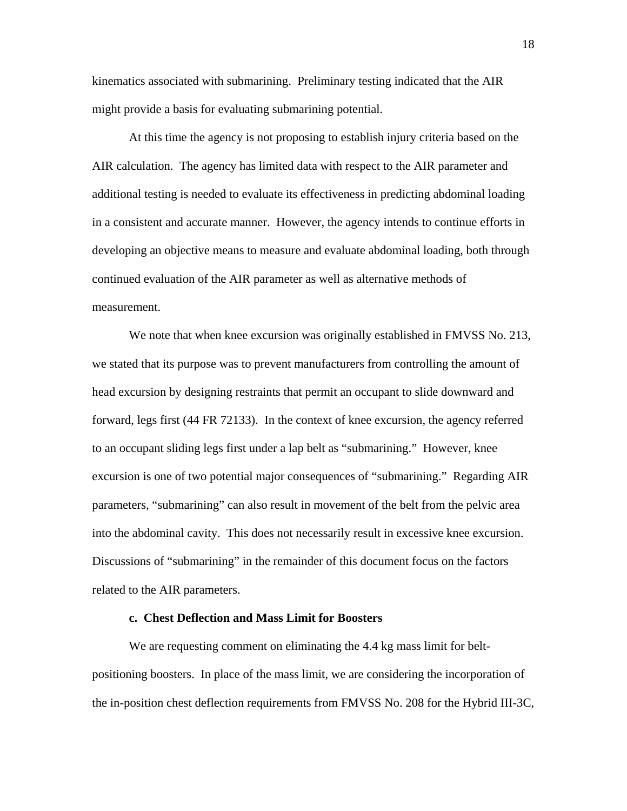kinematics associated with submarining. Preliminary testing indicated that the AIR might provide a basis for evaluating submarining potential.

At this time the agency is not proposing to establish injury criteria based on the AIR calculation. The agency has limited data with respect to the AIR parameter and additional testing is needed to evaluate its effectiveness in predicting abdominal loading in a consistent and accurate manner. However, the agency intends to continue efforts in developing an objective means to measure and evaluate abdominal loading, both through continued evaluation of the AIR parameter as well as alternative methods of measurement.

We note that when knee excursion was originally established in FMVSS No. 213, we stated that its purpose was to prevent manufacturers from controlling the amount of head excursion by designing restraints that permit an occupant to slide downward and forward, legs first (44 FR 72133). In the context of knee excursion, the agency referred to an occupant sliding legs first under a lap belt as "submarining." However, knee excursion is one of two potential major consequences of "submarining." Regarding AIR parameters, "submarining" can also result in movement of the belt from the pelvic area into the abdominal cavity. This does not necessarily result in excessive knee excursion. Discussions of "submarining" in the remainder of this document focus on the factors related to the AIR parameters.

# **c. Chest Deflection and Mass Limit for Boosters**

We are requesting comment on eliminating the 4.4 kg mass limit for beltpositioning boosters. In place of the mass limit, we are considering the incorporation of the in-position chest deflection requirements from FMVSS No. 208 for the Hybrid III-3C,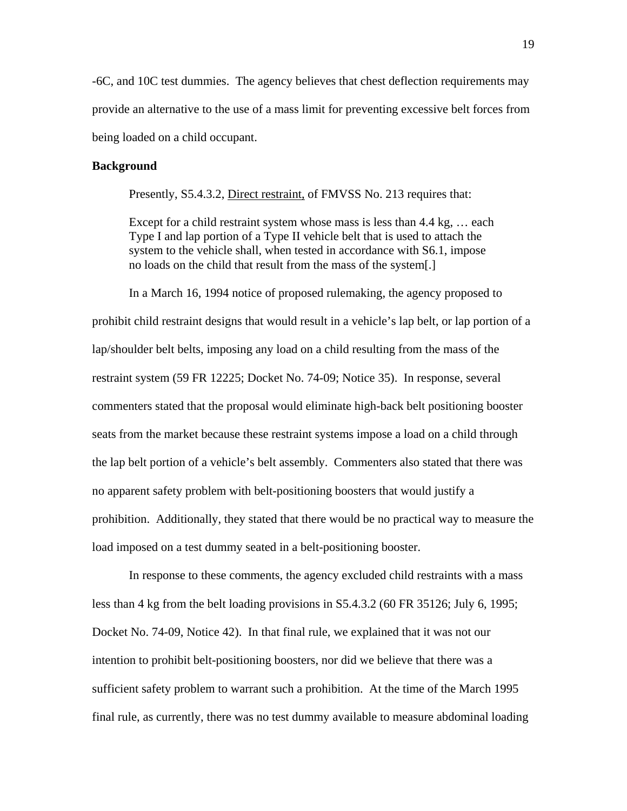-6C, and 10C test dummies. The agency believes that chest deflection requirements may provide an alternative to the use of a mass limit for preventing excessive belt forces from being loaded on a child occupant.

# **Background**

Presently, S5.4.3.2, Direct restraint, of FMVSS No. 213 requires that:

Except for a child restraint system whose mass is less than 4.4 kg, … each Type I and lap portion of a Type II vehicle belt that is used to attach the system to the vehicle shall, when tested in accordance with S6.1, impose no loads on the child that result from the mass of the system[.]

 In a March 16, 1994 notice of proposed rulemaking, the agency proposed to prohibit child restraint designs that would result in a vehicle's lap belt, or lap portion of a lap/shoulder belt belts, imposing any load on a child resulting from the mass of the restraint system (59 FR 12225; Docket No. 74-09; Notice 35). In response, several commenters stated that the proposal would eliminate high-back belt positioning booster seats from the market because these restraint systems impose a load on a child through the lap belt portion of a vehicle's belt assembly. Commenters also stated that there was no apparent safety problem with belt-positioning boosters that would justify a prohibition. Additionally, they stated that there would be no practical way to measure the load imposed on a test dummy seated in a belt-positioning booster.

 In response to these comments, the agency excluded child restraints with a mass less than 4 kg from the belt loading provisions in S5.4.3.2 (60 FR 35126; July 6, 1995; Docket No. 74-09, Notice 42). In that final rule, we explained that it was not our intention to prohibit belt-positioning boosters, nor did we believe that there was a sufficient safety problem to warrant such a prohibition. At the time of the March 1995 final rule, as currently, there was no test dummy available to measure abdominal loading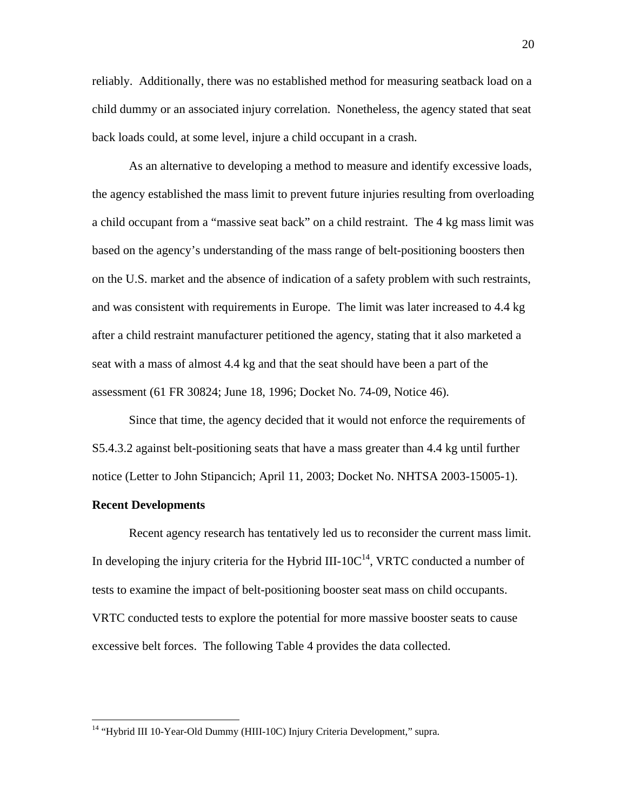reliably. Additionally, there was no established method for measuring seatback load on a child dummy or an associated injury correlation. Nonetheless, the agency stated that seat back loads could, at some level, injure a child occupant in a crash.

As an alternative to developing a method to measure and identify excessive loads, the agency established the mass limit to prevent future injuries resulting from overloading a child occupant from a "massive seat back" on a child restraint. The 4 kg mass limit was based on the agency's understanding of the mass range of belt-positioning boosters then on the U.S. market and the absence of indication of a safety problem with such restraints, and was consistent with requirements in Europe. The limit was later increased to 4.4 kg after a child restraint manufacturer petitioned the agency, stating that it also marketed a seat with a mass of almost 4.4 kg and that the seat should have been a part of the assessment (61 FR 30824; June 18, 1996; Docket No. 74-09, Notice 46)*.*

Since that time, the agency decided that it would not enforce the requirements of S5.4.3.2 against belt-positioning seats that have a mass greater than 4.4 kg until further notice (Letter to John Stipancich; April 11, 2003; Docket No. NHTSA 2003-15005-1).

# **Recent Developments**

<u>.</u>

 Recent agency research has tentatively led us to reconsider the current mass limit. In developing the injury criteria for the Hybrid III-10 $C<sup>14</sup>$ , VRTC conducted a number of tests to examine the impact of belt-positioning booster seat mass on child occupants. VRTC conducted tests to explore the potential for more massive booster seats to cause excessive belt forces. The following Table 4 provides the data collected.

<span id="page-19-0"></span><sup>&</sup>lt;sup>14</sup> "Hybrid III 10-Year-Old Dummy (HIII-10C) Injury Criteria Development," supra.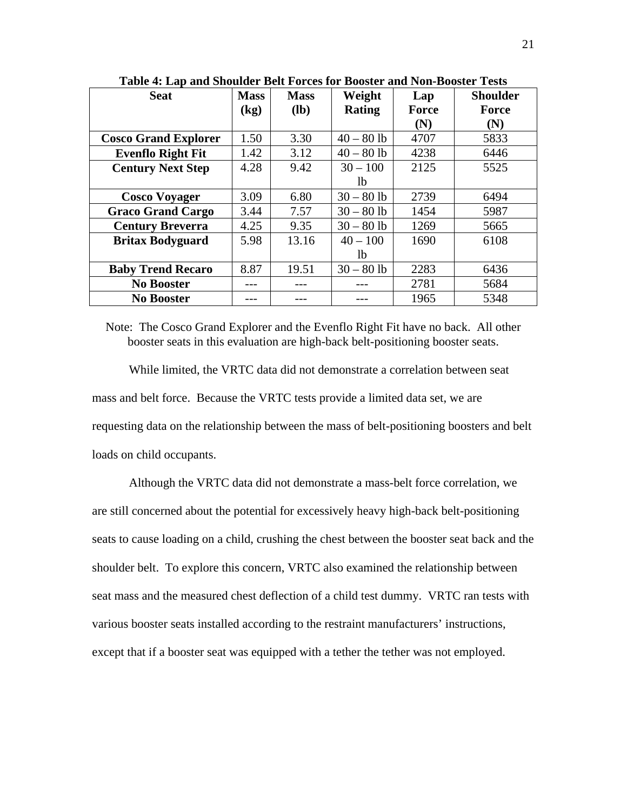| <b>Seat</b>                 | <b>Mass</b> | <b>Mass</b> | Weight        | Lap   | <b>Shoulder</b> |
|-----------------------------|-------------|-------------|---------------|-------|-----------------|
|                             | (kg)        | <b>(lb)</b> | <b>Rating</b> | Force | Force           |
|                             |             |             |               | (N)   | (N)             |
| <b>Cosco Grand Explorer</b> | 1.50        | 3.30        | $40 - 80$ lb  | 4707  | 5833            |
| <b>Evenflo Right Fit</b>    | 1.42        | 3.12        | $40 - 80$ lb  | 4238  | 6446            |
| <b>Century Next Step</b>    | 4.28        | 9.42        | $30 - 100$    | 2125  | 5525            |
|                             |             |             | lb.           |       |                 |
| <b>Cosco Voyager</b>        | 3.09        | 6.80        | $30 - 80$ lb  | 2739  | 6494            |
| <b>Graco Grand Cargo</b>    | 3.44        | 7.57        | $30 - 80$ lb  | 1454  | 5987            |
| <b>Century Breverra</b>     | 4.25        | 9.35        | $30 - 80$ lb  | 1269  | 5665            |
| <b>Britax Bodyguard</b>     | 5.98        | 13.16       | $40 - 100$    | 1690  | 6108            |
|                             |             |             | lb.           |       |                 |
| <b>Baby Trend Recaro</b>    | 8.87        | 19.51       | $30 - 80$ lb  | 2283  | 6436            |
| <b>No Booster</b>           |             |             |               | 2781  | 5684            |
| <b>No Booster</b>           |             |             |               | 1965  | 5348            |

**Table 4: Lap and Shoulder Belt Forces for Booster and Non-Booster Tests** 

Note: The Cosco Grand Explorer and the Evenflo Right Fit have no back. All other booster seats in this evaluation are high-back belt-positioning booster seats.

While limited, the VRTC data did not demonstrate a correlation between seat mass and belt force. Because the VRTC tests provide a limited data set, we are requesting data on the relationship between the mass of belt-positioning boosters and belt loads on child occupants.

Although the VRTC data did not demonstrate a mass-belt force correlation, we are still concerned about the potential for excessively heavy high-back belt-positioning seats to cause loading on a child, crushing the chest between the booster seat back and the shoulder belt. To explore this concern, VRTC also examined the relationship between seat mass and the measured chest deflection of a child test dummy. VRTC ran tests with various booster seats installed according to the restraint manufacturers' instructions, except that if a booster seat was equipped with a tether the tether was not employed.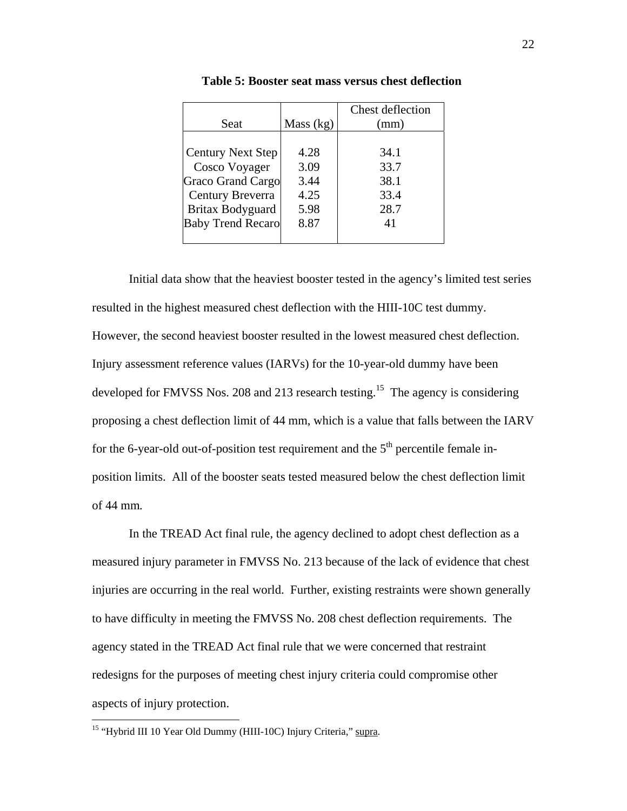|                          |           | Chest deflection |
|--------------------------|-----------|------------------|
| Seat                     | Mass (kg) | (mm)             |
|                          |           |                  |
| <b>Century Next Step</b> | 4.28      | 34.1             |
| Cosco Voyager            | 3.09      | 33.7             |
| <b>Graco Grand Cargo</b> | 3.44      | 38.1             |
| Century Breverra         | 4.25      | 33.4             |
| Britax Bodyguard         | 5.98      | 28.7             |
| <b>Baby Trend Recaro</b> | 8.87      | 41               |
|                          |           |                  |

**Table 5: Booster seat mass versus chest deflection**

Initial data show that the heaviest booster tested in the agency's limited test series resulted in the highest measured chest deflection with the HIII-10C test dummy. However, the second heaviest booster resulted in the lowest measured chest deflection. Injury assessment reference values (IARVs) for the 10-year-old dummy have been developed for FMVSS Nos. 208 and 213 research testing.<sup>15</sup> The agency is considering proposing a chest deflection limit of 44 mm, which is a value that falls between the IARV for the 6-year-old out-of-position test requirement and the  $5<sup>th</sup>$  percentile female inposition limits. All of the booster seats tested measured below the chest deflection limit of 44 mm*.*

In the TREAD Act final rule, the agency declined to adopt chest deflection as a measured injury parameter in FMVSS No. 213 because of the lack of evidence that chest injuries are occurring in the real world. Further, existing restraints were shown generally to have difficulty in meeting the FMVSS No. 208 chest deflection requirements. The agency stated in the TREAD Act final rule that we were concerned that restraint redesigns for the purposes of meeting chest injury criteria could compromise other aspects of injury protection.

<u>.</u>

<span id="page-21-0"></span><sup>&</sup>lt;sup>15</sup> "Hybrid III 10 Year Old Dummy (HIII-10C) Injury Criteria," supra.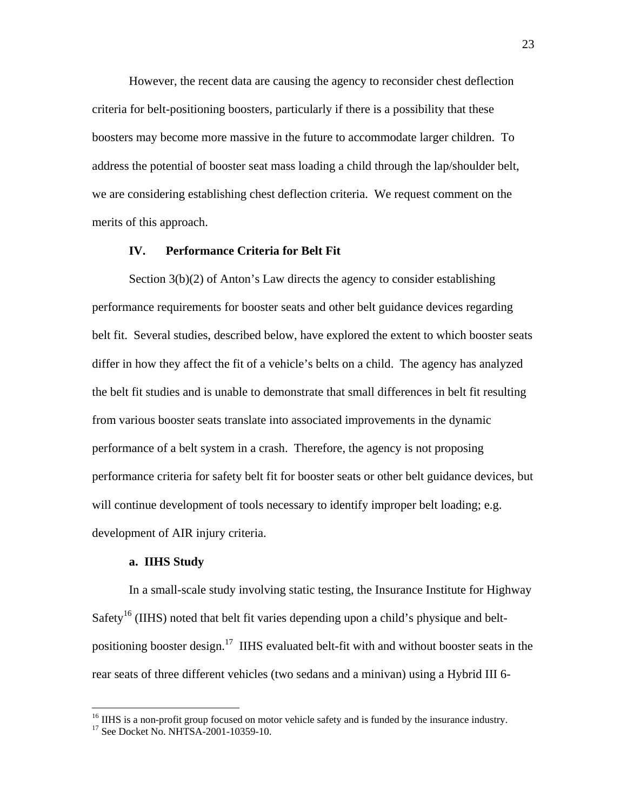However, the recent data are causing the agency to reconsider chest deflection criteria for belt-positioning boosters, particularly if there is a possibility that these boosters may become more massive in the future to accommodate larger children. To address the potential of booster seat mass loading a child through the lap/shoulder belt, we are considering establishing chest deflection criteria. We request comment on the merits of this approach.

### **IV. Performance Criteria for Belt Fit**

Section 3(b)(2) of Anton's Law directs the agency to consider establishing performance requirements for booster seats and other belt guidance devices regarding belt fit. Several studies, described below, have explored the extent to which booster seats differ in how they affect the fit of a vehicle's belts on a child. The agency has analyzed the belt fit studies and is unable to demonstrate that small differences in belt fit resulting from various booster seats translate into associated improvements in the dynamic performance of a belt system in a crash. Therefore, the agency is not proposing performance criteria for safety belt fit for booster seats or other belt guidance devices, but will continue development of tools necessary to identify improper belt loading; e.g. development of AIR injury criteria.

## **a. IIHS Study**

In a small-scale study involving static testing, the Insurance Institute for Highway Safety<sup>16</sup> (IIHS) noted that belt fit varies depending upon a child's physique and beltpositioning booster design.<sup>17</sup> IIHS evaluated belt-fit with and without booster seats in the rear seats of three different vehicles (two sedans and a minivan) using a Hybrid III 6-

 $\overline{a}$ 

<span id="page-22-0"></span><sup>&</sup>lt;sup>16</sup> IIHS is a non-profit group focused on motor vehicle safety and is funded by the insurance industry.

<span id="page-22-1"></span><sup>&</sup>lt;sup>17</sup> See Docket No. NHTSA-2001-10359-10.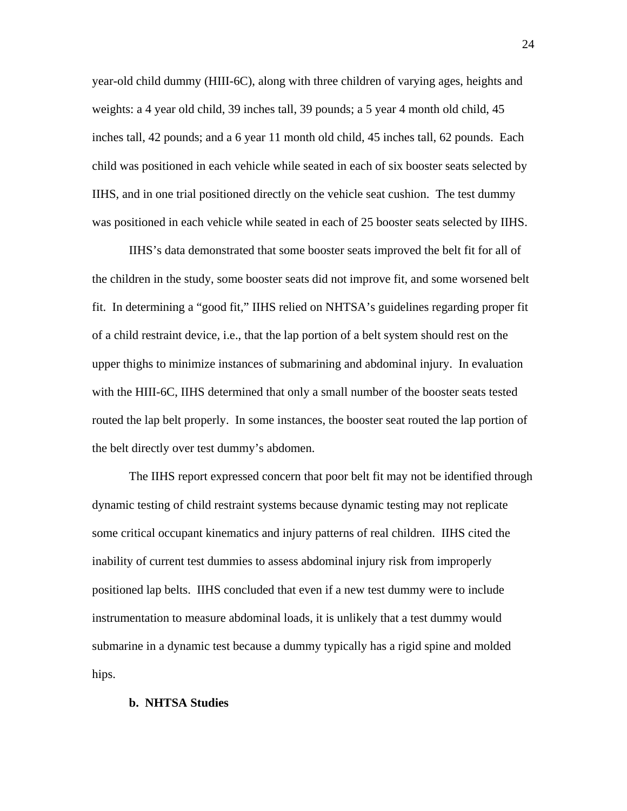year-old child dummy (HIII-6C), along with three children of varying ages, heights and weights: a 4 year old child, 39 inches tall, 39 pounds; a 5 year 4 month old child, 45 inches tall, 42 pounds; and a 6 year 11 month old child, 45 inches tall, 62 pounds. Each child was positioned in each vehicle while seated in each of six booster seats selected by IIHS, and in one trial positioned directly on the vehicle seat cushion. The test dummy was positioned in each vehicle while seated in each of 25 booster seats selected by IIHS.

 IIHS's data demonstrated that some booster seats improved the belt fit for all of the children in the study, some booster seats did not improve fit, and some worsened belt fit. In determining a "good fit," IIHS relied on NHTSA's guidelines regarding proper fit of a child restraint device, i.e., that the lap portion of a belt system should rest on the upper thighs to minimize instances of submarining and abdominal injury. In evaluation with the HIII-6C, IIHS determined that only a small number of the booster seats tested routed the lap belt properly. In some instances, the booster seat routed the lap portion of the belt directly over test dummy's abdomen.

The IIHS report expressed concern that poor belt fit may not be identified through dynamic testing of child restraint systems because dynamic testing may not replicate some critical occupant kinematics and injury patterns of real children. IIHS cited the inability of current test dummies to assess abdominal injury risk from improperly positioned lap belts. IIHS concluded that even if a new test dummy were to include instrumentation to measure abdominal loads, it is unlikely that a test dummy would submarine in a dynamic test because a dummy typically has a rigid spine and molded hips.

#### **b. NHTSA Studies**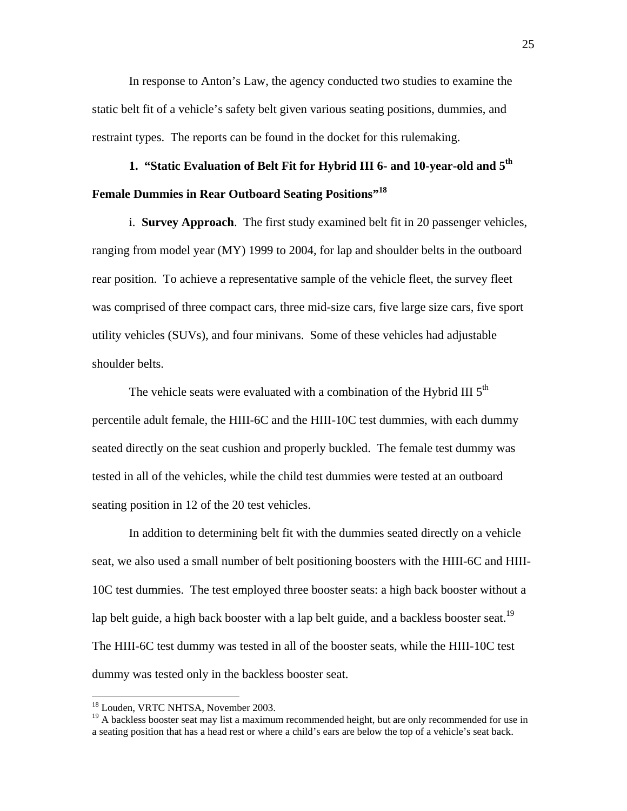In response to Anton's Law, the agency conducted two studies to examine the static belt fit of a vehicle's safety belt given various seating positions, dummies, and restraint types. The reports can be found in the docket for this rulemaking.

# **1. "Static Evaluation of Belt Fit for Hybrid III 6- and 10-year-old and 5th Female Dummies in Rear Outboard Seating Positions"[18](#page-24-0)**

i. **Survey Approach**. The first study examined belt fit in 20 passenger vehicles, ranging from model year (MY) 1999 to 2004, for lap and shoulder belts in the outboard rear position. To achieve a representative sample of the vehicle fleet, the survey fleet was comprised of three compact cars, three mid-size cars, five large size cars, five sport utility vehicles (SUVs), and four minivans. Some of these vehicles had adjustable shoulder belts.

The vehicle seats were evaluated with a combination of the Hybrid III  $5<sup>th</sup>$ percentile adult female, the HIII-6C and the HIII-10C test dummies, with each dummy seated directly on the seat cushion and properly buckled. The female test dummy was tested in all of the vehicles, while the child test dummies were tested at an outboard seating position in 12 of the 20 test vehicles.

In addition to determining belt fit with the dummies seated directly on a vehicle seat, we also used a small number of belt positioning boosters with the HIII-6C and HIII-10C test dummies. The test employed three booster seats: a high back booster without a lap belt guide, a high back booster with a lap belt guide, and a backless booster seat.<sup>19</sup> The HIII-6C test dummy was tested in all of the booster seats, while the HIII-10C test dummy was tested only in the backless booster seat.

1

<span id="page-24-0"></span><sup>&</sup>lt;sup>18</sup> Louden, VRTC NHTSA, November 2003.

<span id="page-24-1"></span><sup>&</sup>lt;sup>19</sup> A backless booster seat may list a maximum recommended height, but are only recommended for use in a seating position that has a head rest or where a child's ears are below the top of a vehicle's seat back.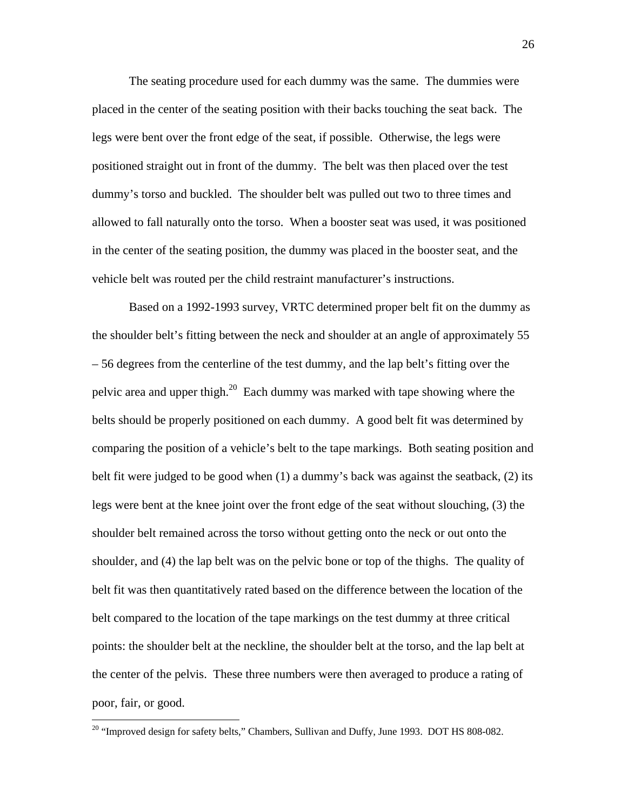The seating procedure used for each dummy was the same. The dummies were placed in the center of the seating position with their backs touching the seat back. The legs were bent over the front edge of the seat, if possible. Otherwise, the legs were positioned straight out in front of the dummy. The belt was then placed over the test dummy's torso and buckled. The shoulder belt was pulled out two to three times and allowed to fall naturally onto the torso. When a booster seat was used, it was positioned in the center of the seating position, the dummy was placed in the booster seat, and the vehicle belt was routed per the child restraint manufacturer's instructions.

 Based on a 1992-1993 survey, VRTC determined proper belt fit on the dummy as the shoulder belt's fitting between the neck and shoulder at an angle of approximately 55 – 56 degrees from the centerline of the test dummy, and the lap belt's fitting over the pelvic area and upper thigh.<sup>20</sup> Each dummy was marked with tape showing where the belts should be properly positioned on each dummy. A good belt fit was determined by comparing the position of a vehicle's belt to the tape markings. Both seating position and belt fit were judged to be good when (1) a dummy's back was against the seatback, (2) its legs were bent at the knee joint over the front edge of the seat without slouching, (3) the shoulder belt remained across the torso without getting onto the neck or out onto the shoulder, and (4) the lap belt was on the pelvic bone or top of the thighs. The quality of belt fit was then quantitatively rated based on the difference between the location of the belt compared to the location of the tape markings on the test dummy at three critical points: the shoulder belt at the neckline, the shoulder belt at the torso, and the lap belt at the center of the pelvis. These three numbers were then averaged to produce a rating of poor, fair, or good.

<u>.</u>

<span id="page-25-0"></span><sup>&</sup>lt;sup>20</sup> "Improved design for safety belts," Chambers, Sullivan and Duffy, June 1993. DOT HS 808-082.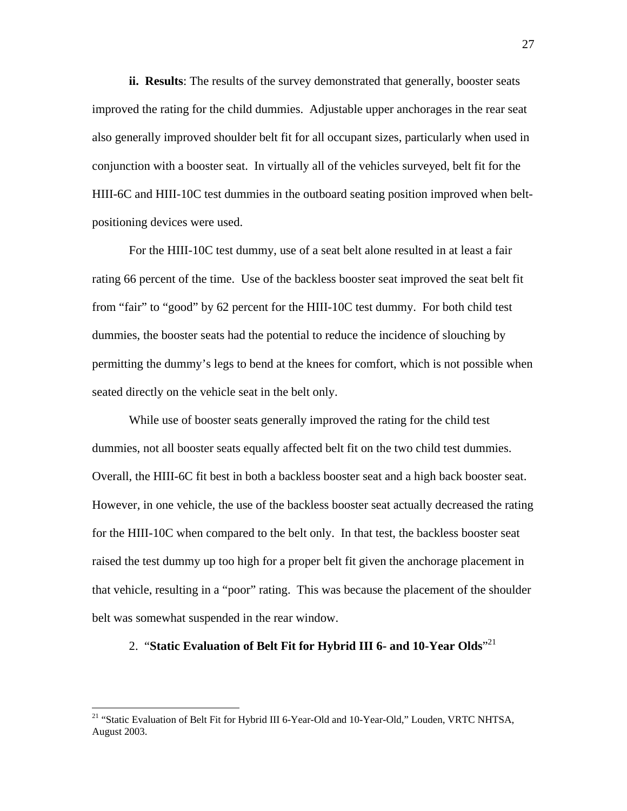**ii. Results**: The results of the survey demonstrated that generally, booster seats improved the rating for the child dummies. Adjustable upper anchorages in the rear seat also generally improved shoulder belt fit for all occupant sizes, particularly when used in conjunction with a booster seat. In virtually all of the vehicles surveyed, belt fit for the HIII-6C and HIII-10C test dummies in the outboard seating position improved when beltpositioning devices were used.

For the HIII-10C test dummy, use of a seat belt alone resulted in at least a fair rating 66 percent of the time. Use of the backless booster seat improved the seat belt fit from "fair" to "good" by 62 percent for the HIII-10C test dummy. For both child test dummies, the booster seats had the potential to reduce the incidence of slouching by permitting the dummy's legs to bend at the knees for comfort, which is not possible when seated directly on the vehicle seat in the belt only.

While use of booster seats generally improved the rating for the child test dummies, not all booster seats equally affected belt fit on the two child test dummies. Overall, the HIII-6C fit best in both a backless booster seat and a high back booster seat. However, in one vehicle, the use of the backless booster seat actually decreased the rating for the HIII-10C when compared to the belt only. In that test, the backless booster seat raised the test dummy up too high for a proper belt fit given the anchorage placement in that vehicle, resulting in a "poor" rating. This was because the placement of the shoulder belt was somewhat suspended in the rear window.

# 2. "**Static Evaluation of Belt Fit for Hybrid III 6- and 10-Year Olds**" [21](#page-26-0)

 $\overline{a}$ 

<span id="page-26-0"></span><sup>&</sup>lt;sup>21</sup> "Static Evaluation of Belt Fit for Hybrid III 6-Year-Old and 10-Year-Old," Louden, VRTC NHTSA, August 2003.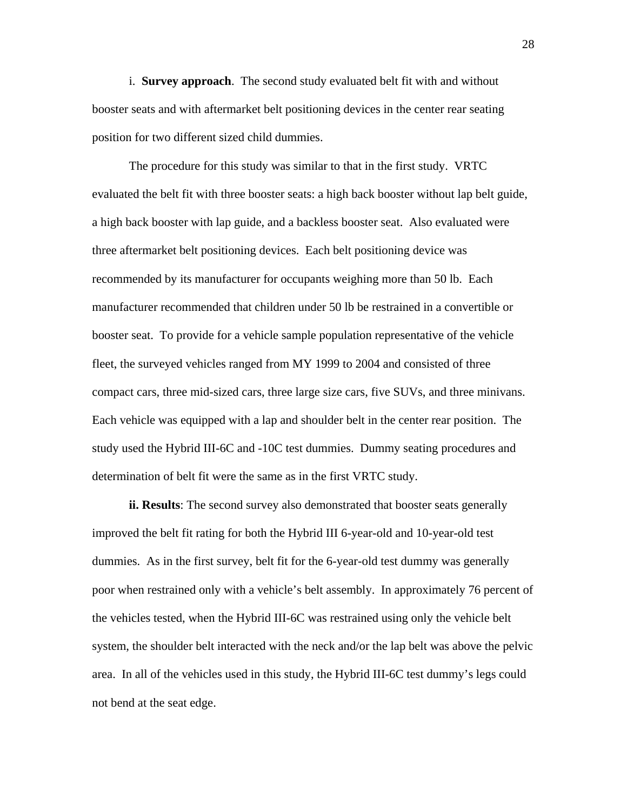i. **Survey approach**. The second study evaluated belt fit with and without booster seats and with aftermarket belt positioning devices in the center rear seating position for two different sized child dummies.

The procedure for this study was similar to that in the first study. VRTC evaluated the belt fit with three booster seats: a high back booster without lap belt guide, a high back booster with lap guide, and a backless booster seat. Also evaluated were three aftermarket belt positioning devices. Each belt positioning device was recommended by its manufacturer for occupants weighing more than 50 lb. Each manufacturer recommended that children under 50 lb be restrained in a convertible or booster seat. To provide for a vehicle sample population representative of the vehicle fleet, the surveyed vehicles ranged from MY 1999 to 2004 and consisted of three compact cars, three mid-sized cars, three large size cars, five SUVs, and three minivans. Each vehicle was equipped with a lap and shoulder belt in the center rear position. The study used the Hybrid III-6C and -10C test dummies. Dummy seating procedures and determination of belt fit were the same as in the first VRTC study.

**ii. Results**: The second survey also demonstrated that booster seats generally improved the belt fit rating for both the Hybrid III 6-year-old and 10-year-old test dummies. As in the first survey, belt fit for the 6-year-old test dummy was generally poor when restrained only with a vehicle's belt assembly. In approximately 76 percent of the vehicles tested, when the Hybrid III-6C was restrained using only the vehicle belt system, the shoulder belt interacted with the neck and/or the lap belt was above the pelvic area. In all of the vehicles used in this study, the Hybrid III-6C test dummy's legs could not bend at the seat edge.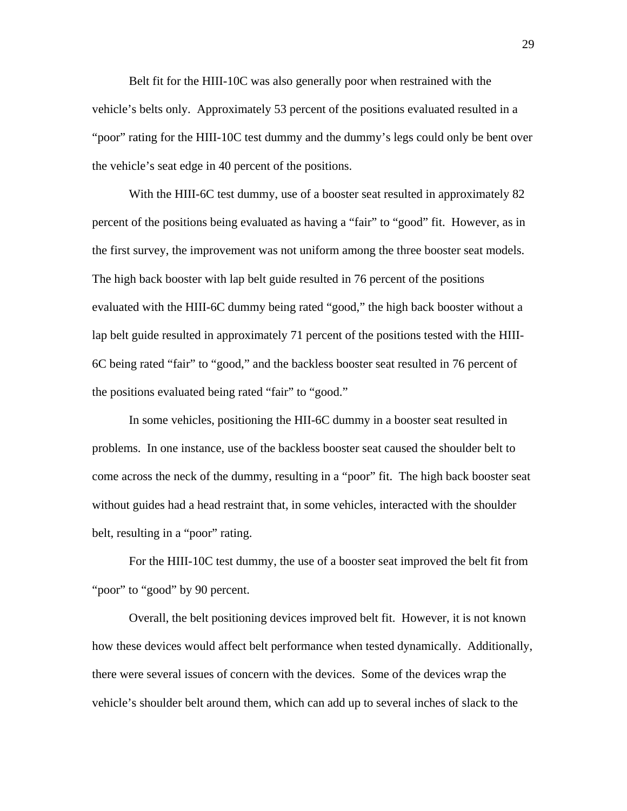Belt fit for the HIII-10C was also generally poor when restrained with the vehicle's belts only. Approximately 53 percent of the positions evaluated resulted in a "poor" rating for the HIII-10C test dummy and the dummy's legs could only be bent over the vehicle's seat edge in 40 percent of the positions.

With the HIII-6C test dummy, use of a booster seat resulted in approximately 82 percent of the positions being evaluated as having a "fair" to "good" fit. However, as in the first survey, the improvement was not uniform among the three booster seat models. The high back booster with lap belt guide resulted in 76 percent of the positions evaluated with the HIII-6C dummy being rated "good," the high back booster without a lap belt guide resulted in approximately 71 percent of the positions tested with the HIII-6C being rated "fair" to "good," and the backless booster seat resulted in 76 percent of the positions evaluated being rated "fair" to "good."

In some vehicles, positioning the HII-6C dummy in a booster seat resulted in problems. In one instance, use of the backless booster seat caused the shoulder belt to come across the neck of the dummy, resulting in a "poor" fit. The high back booster seat without guides had a head restraint that, in some vehicles, interacted with the shoulder belt, resulting in a "poor" rating.

For the HIII-10C test dummy, the use of a booster seat improved the belt fit from "poor" to "good" by 90 percent.

Overall, the belt positioning devices improved belt fit. However, it is not known how these devices would affect belt performance when tested dynamically. Additionally, there were several issues of concern with the devices. Some of the devices wrap the vehicle's shoulder belt around them, which can add up to several inches of slack to the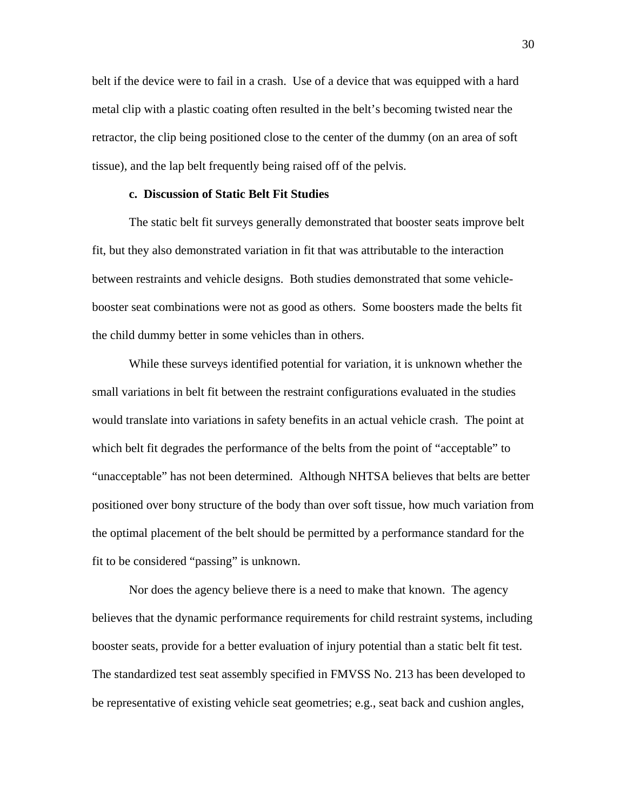belt if the device were to fail in a crash. Use of a device that was equipped with a hard metal clip with a plastic coating often resulted in the belt's becoming twisted near the retractor, the clip being positioned close to the center of the dummy (on an area of soft tissue), and the lap belt frequently being raised off of the pelvis.

# **c. Discussion of Static Belt Fit Studies**

The static belt fit surveys generally demonstrated that booster seats improve belt fit, but they also demonstrated variation in fit that was attributable to the interaction between restraints and vehicle designs. Both studies demonstrated that some vehiclebooster seat combinations were not as good as others. Some boosters made the belts fit the child dummy better in some vehicles than in others.

While these surveys identified potential for variation, it is unknown whether the small variations in belt fit between the restraint configurations evaluated in the studies would translate into variations in safety benefits in an actual vehicle crash. The point at which belt fit degrades the performance of the belts from the point of "acceptable" to "unacceptable" has not been determined. Although NHTSA believes that belts are better positioned over bony structure of the body than over soft tissue, how much variation from the optimal placement of the belt should be permitted by a performance standard for the fit to be considered "passing" is unknown.

Nor does the agency believe there is a need to make that known. The agency believes that the dynamic performance requirements for child restraint systems, including booster seats, provide for a better evaluation of injury potential than a static belt fit test. The standardized test seat assembly specified in FMVSS No. 213 has been developed to be representative of existing vehicle seat geometries; e.g., seat back and cushion angles,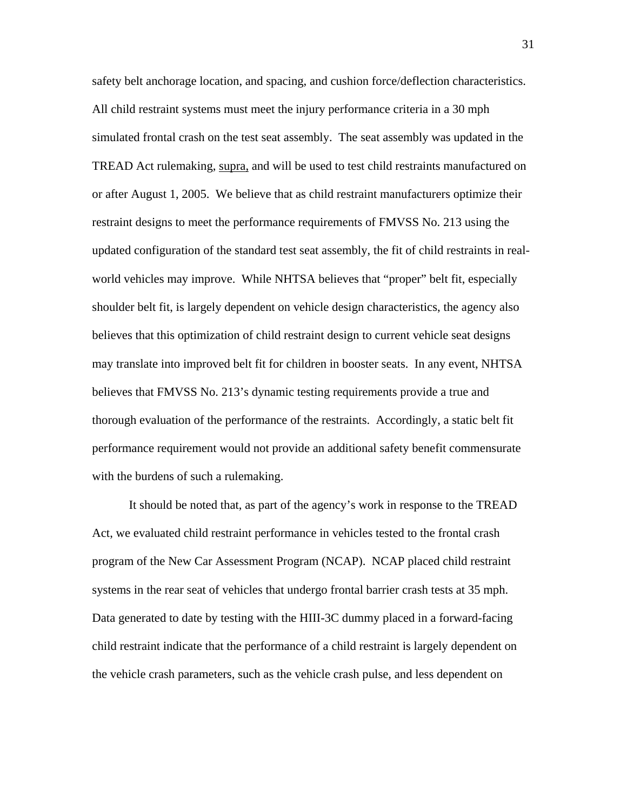safety belt anchorage location, and spacing, and cushion force/deflection characteristics. All child restraint systems must meet the injury performance criteria in a 30 mph simulated frontal crash on the test seat assembly. The seat assembly was updated in the TREAD Act rulemaking, supra, and will be used to test child restraints manufactured on or after August 1, 2005. We believe that as child restraint manufacturers optimize their restraint designs to meet the performance requirements of FMVSS No. 213 using the updated configuration of the standard test seat assembly, the fit of child restraints in realworld vehicles may improve. While NHTSA believes that "proper" belt fit, especially shoulder belt fit, is largely dependent on vehicle design characteristics, the agency also believes that this optimization of child restraint design to current vehicle seat designs may translate into improved belt fit for children in booster seats. In any event, NHTSA believes that FMVSS No. 213's dynamic testing requirements provide a true and thorough evaluation of the performance of the restraints. Accordingly, a static belt fit performance requirement would not provide an additional safety benefit commensurate with the burdens of such a rulemaking.

It should be noted that, as part of the agency's work in response to the TREAD Act, we evaluated child restraint performance in vehicles tested to the frontal crash program of the New Car Assessment Program (NCAP). NCAP placed child restraint systems in the rear seat of vehicles that undergo frontal barrier crash tests at 35 mph. Data generated to date by testing with the HIII-3C dummy placed in a forward-facing child restraint indicate that the performance of a child restraint is largely dependent on the vehicle crash parameters, such as the vehicle crash pulse, and less dependent on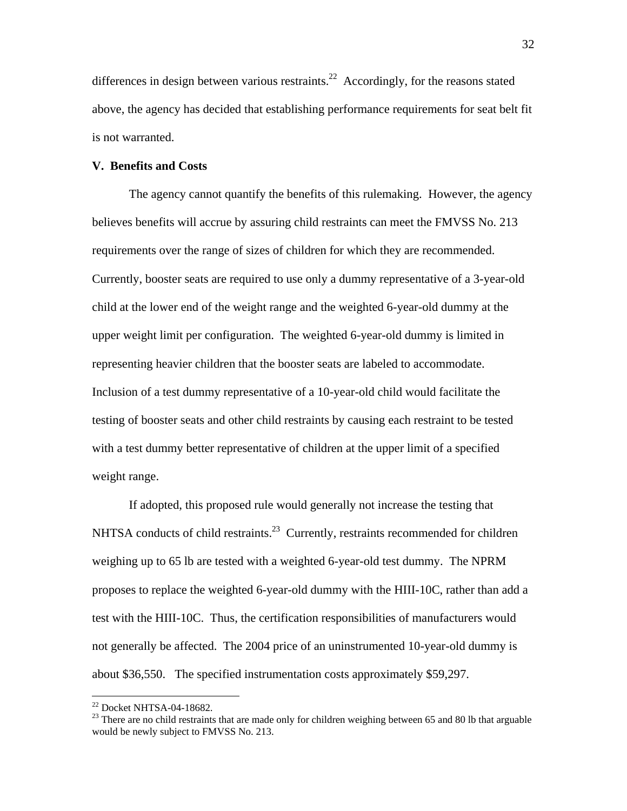differences in design between various restraints.<sup>22</sup> Accordingly, for the reasons stated above, the agency has decided that establishing performance requirements for seat belt fit is not warranted.

# **V. Benefits and Costs**

The agency cannot quantify the benefits of this rulemaking. However, the agency believes benefits will accrue by assuring child restraints can meet the FMVSS No. 213 requirements over the range of sizes of children for which they are recommended. Currently, booster seats are required to use only a dummy representative of a 3-year-old child at the lower end of the weight range and the weighted 6-year-old dummy at the upper weight limit per configuration. The weighted 6-year-old dummy is limited in representing heavier children that the booster seats are labeled to accommodate. Inclusion of a test dummy representative of a 10-year-old child would facilitate the testing of booster seats and other child restraints by causing each restraint to be tested with a test dummy better representative of children at the upper limit of a specified weight range.

 If adopted, this proposed rule would generally not increase the testing that NHTSA conducts of child restraints.<sup>23</sup> Currently, restraints recommended for children weighing up to 65 lb are tested with a weighted 6-year-old test dummy. The NPRM proposes to replace the weighted 6-year-old dummy with the HIII-10C, rather than add a test with the HIII-10C. Thus, the certification responsibilities of manufacturers would not generally be affected. The 2004 price of an uninstrumented 10-year-old dummy is about \$36,550. The specified instrumentation costs approximately \$59,297.

1

<span id="page-31-0"></span><sup>22</sup> Docket NHTSA-04-18682.

<span id="page-31-1"></span><sup>&</sup>lt;sup>23</sup> There are no child restraints that are made only for children weighing between 65 and 80 lb that arguable would be newly subject to FMVSS No. 213.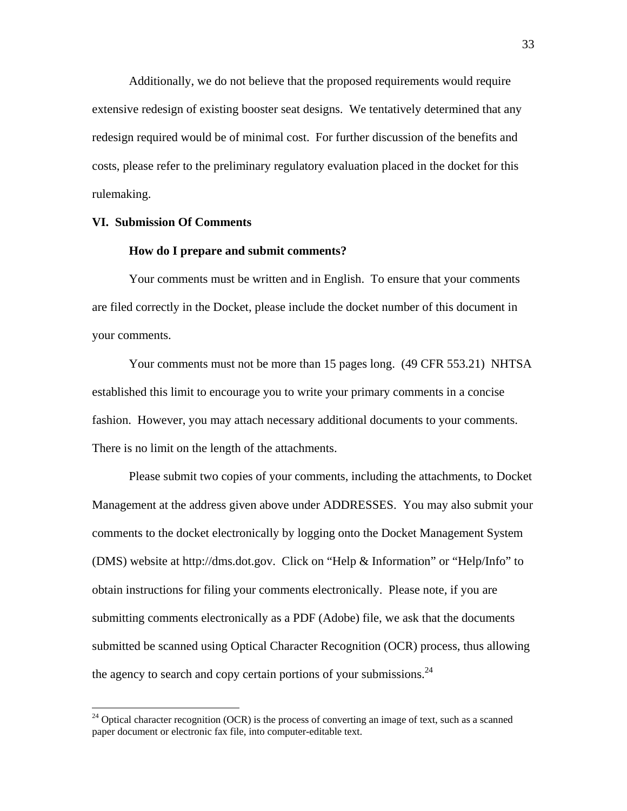Additionally, we do not believe that the proposed requirements would require extensive redesign of existing booster seat designs. We tentatively determined that any redesign required would be of minimal cost. For further discussion of the benefits and costs, please refer to the preliminary regulatory evaluation placed in the docket for this rulemaking.

# **VI. Submission Of Comments**

 $\overline{a}$ 

### **How do I prepare and submit comments?**

Your comments must be written and in English. To ensure that your comments are filed correctly in the Docket, please include the docket number of this document in your comments.

Your comments must not be more than 15 pages long. (49 CFR 553.21) NHTSA established this limit to encourage you to write your primary comments in a concise fashion. However, you may attach necessary additional documents to your comments. There is no limit on the length of the attachments.

Please submit two copies of your comments, including the attachments, to Docket Management at the address given above under ADDRESSES. You may also submit your comments to the docket electronically by logging onto the Docket Management System (DMS) website at http://dms.dot.gov. Click on "Help & Information" or "Help/Info" to obtain instructions for filing your comments electronically. Please note, if you are submitting comments electronically as a PDF (Adobe) file, we ask that the documents submitted be scanned using Optical Character Recognition (OCR) process, thus allowing the agency to search and copy certain portions of your submissions.<sup>[24](#page-32-0)</sup>

<span id="page-32-0"></span> $24$  Optical character recognition (OCR) is the process of converting an image of text, such as a scanned paper document or electronic fax file, into computer-editable text.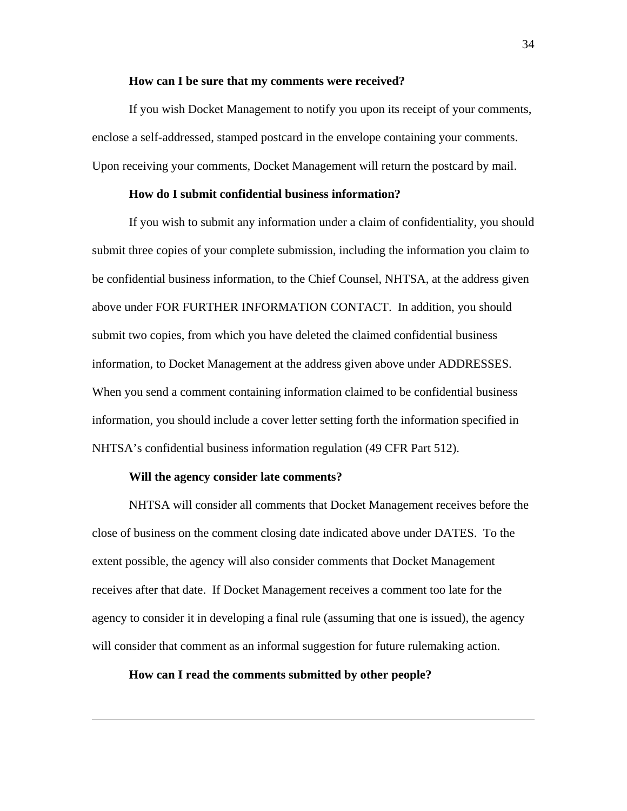#### **How can I be sure that my comments were received?**

If you wish Docket Management to notify you upon its receipt of your comments, enclose a self-addressed, stamped postcard in the envelope containing your comments. Upon receiving your comments, Docket Management will return the postcard by mail.

# **How do I submit confidential business information?**

If you wish to submit any information under a claim of confidentiality, you should submit three copies of your complete submission, including the information you claim to be confidential business information, to the Chief Counsel, NHTSA, at the address given above under FOR FURTHER INFORMATION CONTACT. In addition, you should submit two copies, from which you have deleted the claimed confidential business information, to Docket Management at the address given above under ADDRESSES. When you send a comment containing information claimed to be confidential business information, you should include a cover letter setting forth the information specified in NHTSA's confidential business information regulation (49 CFR Part 512).

# **Will the agency consider late comments?**

 $\overline{a}$ 

NHTSA will consider all comments that Docket Management receives before the close of business on the comment closing date indicated above under DATES. To the extent possible, the agency will also consider comments that Docket Management receives after that date. If Docket Management receives a comment too late for the agency to consider it in developing a final rule (assuming that one is issued), the agency will consider that comment as an informal suggestion for future rulemaking action.

# **How can I read the comments submitted by other people?**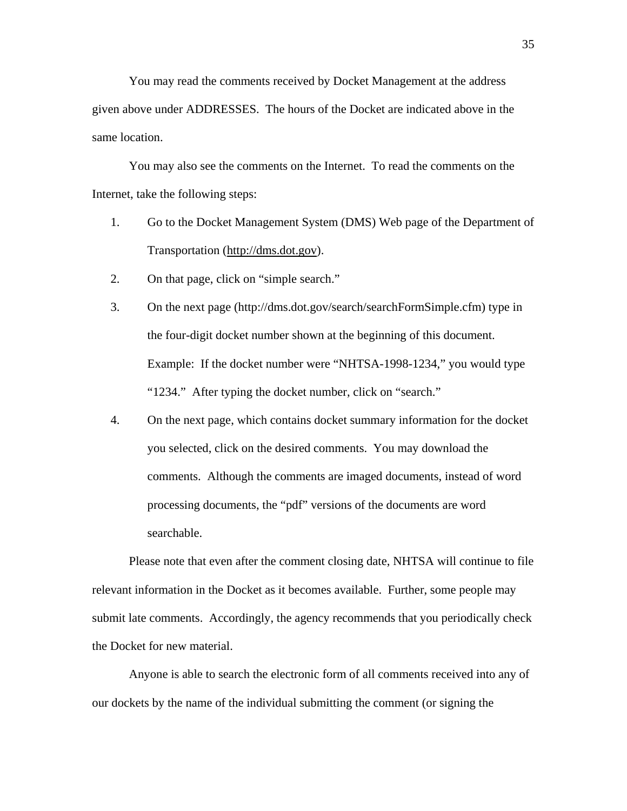You may read the comments received by Docket Management at the address given above under ADDRESSES. The hours of the Docket are indicated above in the same location.

You may also see the comments on the Internet. To read the comments on the Internet, take the following steps:

- 1. Go to the Docket Management System (DMS) Web page of the Department of Transportation ([http://dms.dot.gov\)](http://dms.dot.gov/).
- 2. On that page, click on "simple search."
- 3. On the next page (http://dms.dot.gov/search/searchFormSimple.cfm) type in the four-digit docket number shown at the beginning of this document. Example: If the docket number were "NHTSA-1998-1234," you would type "1234." After typing the docket number, click on "search."
- 4. On the next page, which contains docket summary information for the docket you selected, click on the desired comments. You may download the comments. Although the comments are imaged documents, instead of word processing documents, the "pdf" versions of the documents are word searchable.

 Please note that even after the comment closing date, NHTSA will continue to file relevant information in the Docket as it becomes available. Further, some people may submit late comments. Accordingly, the agency recommends that you periodically check the Docket for new material.

Anyone is able to search the electronic form of all comments received into any of our dockets by the name of the individual submitting the comment (or signing the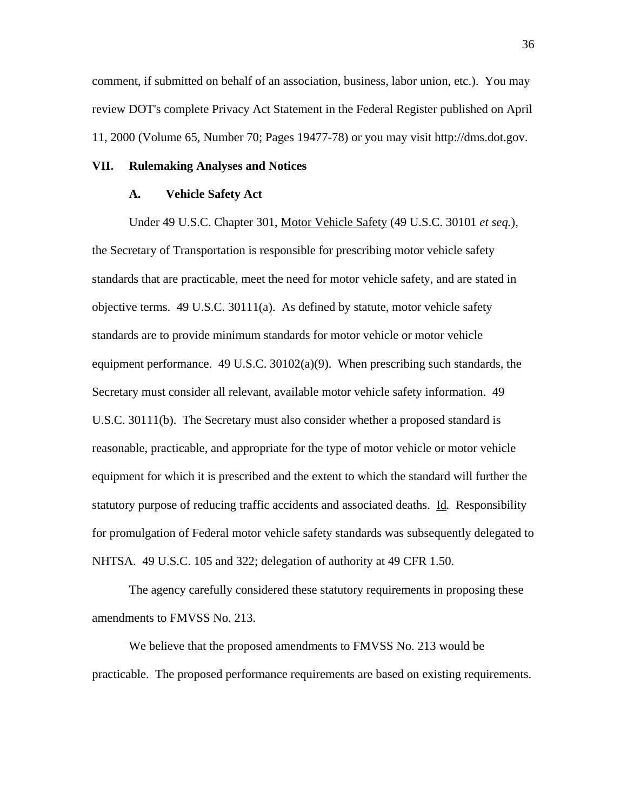comment, if submitted on behalf of an association, business, labor union, etc.). You may review DOT's complete Privacy Act Statement in the Federal Register published on April 11, 2000 (Volume 65, Number 70; Pages 19477-78) or you may visit http://dms.dot.gov.

# **VII. Rulemaking Analyses and Notices**

## **A. Vehicle Safety Act**

Under 49 U.S.C. Chapter 301, Motor Vehicle Safety (49 U.S.C. 30101 *et seq.*), the Secretary of Transportation is responsible for prescribing motor vehicle safety standards that are practicable, meet the need for motor vehicle safety, and are stated in objective terms. 49 U.S.C. 30111(a). As defined by statute, motor vehicle safety standards are to provide minimum standards for motor vehicle or motor vehicle equipment performance. 49 U.S.C. 30102(a)(9). When prescribing such standards, the Secretary must consider all relevant, available motor vehicle safety information. 49 U.S.C. 30111(b). The Secretary must also consider whether a proposed standard is reasonable, practicable, and appropriate for the type of motor vehicle or motor vehicle equipment for which it is prescribed and the extent to which the standard will further the statutory purpose of reducing traffic accidents and associated deaths. Id*.* Responsibility for promulgation of Federal motor vehicle safety standards was subsequently delegated to NHTSA. 49 U.S.C. 105 and 322; delegation of authority at 49 CFR 1.50.

The agency carefully considered these statutory requirements in proposing these amendments to FMVSS No. 213.

We believe that the proposed amendments to FMVSS No. 213 would be practicable. The proposed performance requirements are based on existing requirements.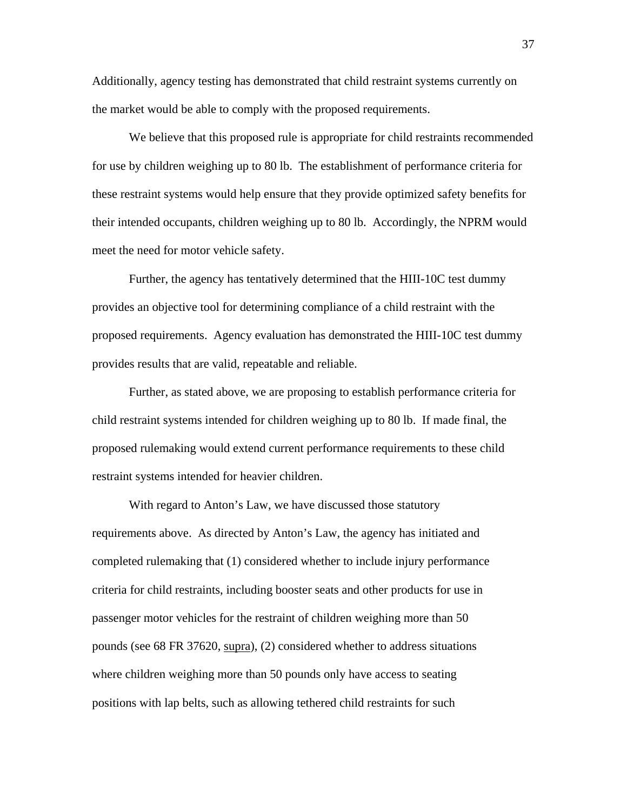Additionally, agency testing has demonstrated that child restraint systems currently on the market would be able to comply with the proposed requirements.

We believe that this proposed rule is appropriate for child restraints recommended for use by children weighing up to 80 lb. The establishment of performance criteria for these restraint systems would help ensure that they provide optimized safety benefits for their intended occupants, children weighing up to 80 lb. Accordingly, the NPRM would meet the need for motor vehicle safety.

Further, the agency has tentatively determined that the HIII-10C test dummy provides an objective tool for determining compliance of a child restraint with the proposed requirements. Agency evaluation has demonstrated the HIII-10C test dummy provides results that are valid, repeatable and reliable.

Further, as stated above, we are proposing to establish performance criteria for child restraint systems intended for children weighing up to 80 lb. If made final, the proposed rulemaking would extend current performance requirements to these child restraint systems intended for heavier children.

With regard to Anton's Law, we have discussed those statutory requirements above. As directed by Anton's Law, the agency has initiated and completed rulemaking that (1) considered whether to include injury performance criteria for child restraints, including booster seats and other products for use in passenger motor vehicles for the restraint of children weighing more than 50 pounds (see 68 FR 37620, supra), (2) considered whether to address situations where children weighing more than 50 pounds only have access to seating positions with lap belts, such as allowing tethered child restraints for such

37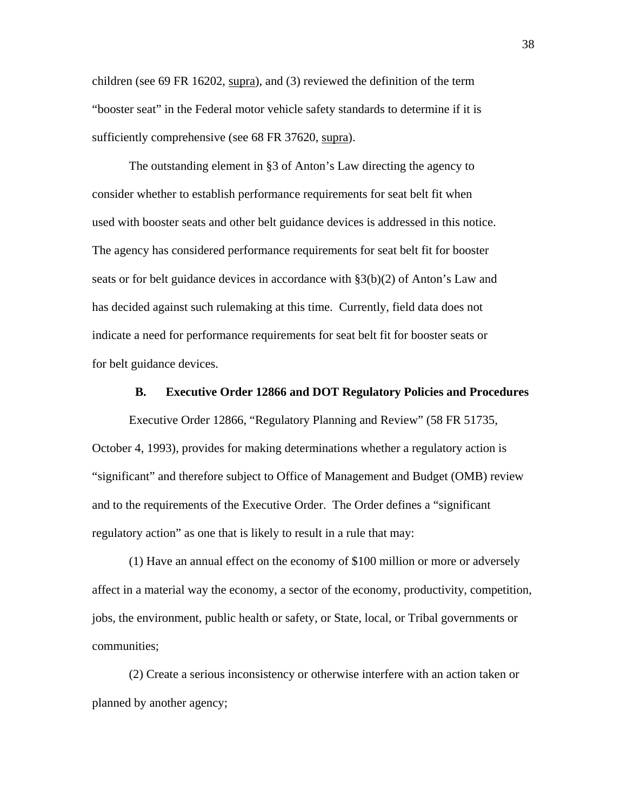children (see 69 FR 16202, supra), and (3) reviewed the definition of the term "booster seat" in the Federal motor vehicle safety standards to determine if it is sufficiently comprehensive (see 68 FR 37620, supra).

The outstanding element in §3 of Anton's Law directing the agency to consider whether to establish performance requirements for seat belt fit when used with booster seats and other belt guidance devices is addressed in this notice. The agency has considered performance requirements for seat belt fit for booster seats or for belt guidance devices in accordance with §3(b)(2) of Anton's Law and has decided against such rulemaking at this time. Currently, field data does not indicate a need for performance requirements for seat belt fit for booster seats or for belt guidance devices.

# **B. Executive Order 12866 and DOT Regulatory Policies and Procedures**

Executive Order 12866, "Regulatory Planning and Review" (58 FR 51735, October 4, 1993), provides for making determinations whether a regulatory action is "significant" and therefore subject to Office of Management and Budget (OMB) review and to the requirements of the Executive Order. The Order defines a "significant regulatory action" as one that is likely to result in a rule that may:

(1) Have an annual effect on the economy of \$100 million or more or adversely affect in a material way the economy, a sector of the economy, productivity, competition, jobs, the environment, public health or safety, or State, local, or Tribal governments or communities;

(2) Create a serious inconsistency or otherwise interfere with an action taken or planned by another agency;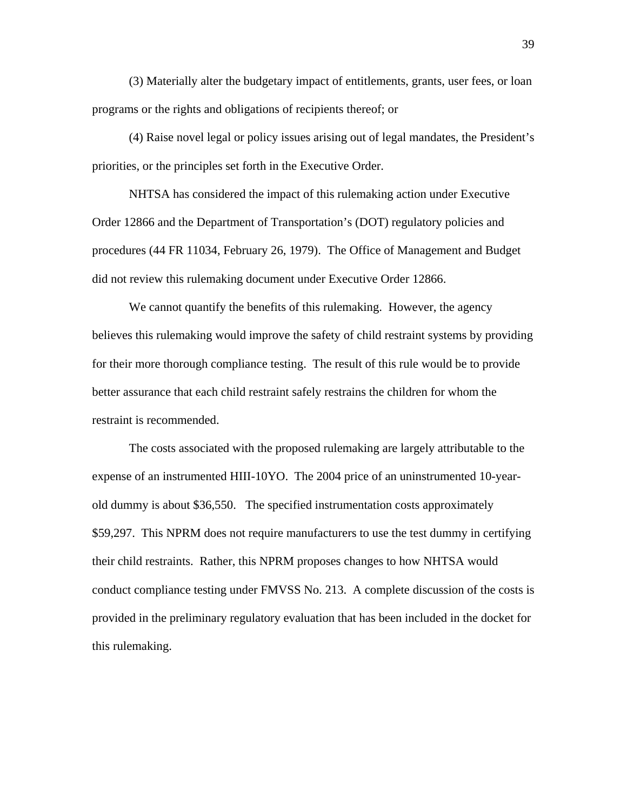(3) Materially alter the budgetary impact of entitlements, grants, user fees, or loan programs or the rights and obligations of recipients thereof; or

 (4) Raise novel legal or policy issues arising out of legal mandates, the President's priorities, or the principles set forth in the Executive Order.

NHTSA has considered the impact of this rulemaking action under Executive Order 12866 and the Department of Transportation's (DOT) regulatory policies and procedures (44 FR 11034, February 26, 1979). The Office of Management and Budget did not review this rulemaking document under Executive Order 12866.

We cannot quantify the benefits of this rulemaking. However, the agency believes this rulemaking would improve the safety of child restraint systems by providing for their more thorough compliance testing. The result of this rule would be to provide better assurance that each child restraint safely restrains the children for whom the restraint is recommended.

The costs associated with the proposed rulemaking are largely attributable to the expense of an instrumented HIII-10YO. The 2004 price of an uninstrumented 10-yearold dummy is about \$36,550. The specified instrumentation costs approximately \$59,297. This NPRM does not require manufacturers to use the test dummy in certifying their child restraints. Rather, this NPRM proposes changes to how NHTSA would conduct compliance testing under FMVSS No. 213. A complete discussion of the costs is provided in the preliminary regulatory evaluation that has been included in the docket for this rulemaking.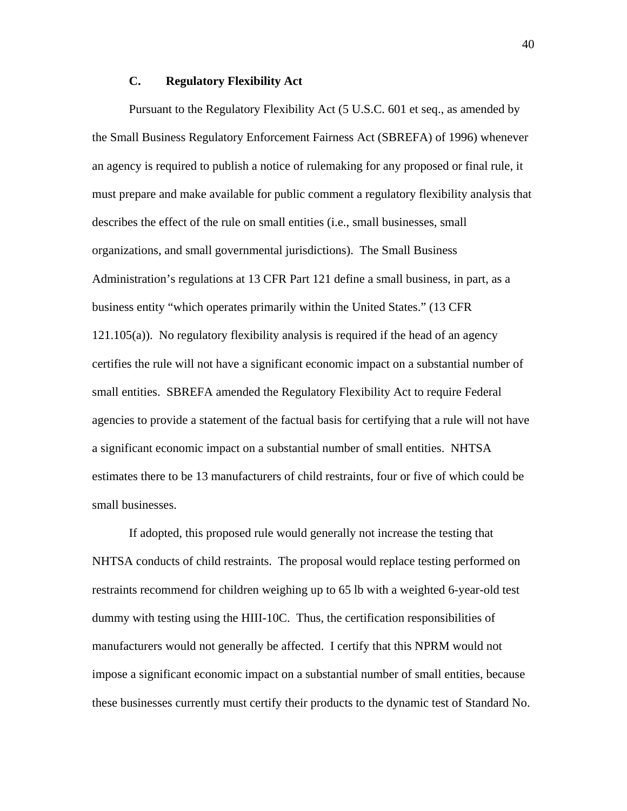# **C. Regulatory Flexibility Act**

 Pursuant to the Regulatory Flexibility Act (5 U.S.C. 601 et seq., as amended by the Small Business Regulatory Enforcement Fairness Act (SBREFA) of 1996) whenever an agency is required to publish a notice of rulemaking for any proposed or final rule, it must prepare and make available for public comment a regulatory flexibility analysis that describes the effect of the rule on small entities (i.e., small businesses, small organizations, and small governmental jurisdictions). The Small Business Administration's regulations at 13 CFR Part 121 define a small business, in part, as a business entity "which operates primarily within the United States." (13 CFR 121.105(a)). No regulatory flexibility analysis is required if the head of an agency certifies the rule will not have a significant economic impact on a substantial number of small entities. SBREFA amended the Regulatory Flexibility Act to require Federal agencies to provide a statement of the factual basis for certifying that a rule will not have a significant economic impact on a substantial number of small entities. NHTSA estimates there to be 13 manufacturers of child restraints, four or five of which could be small businesses.

If adopted, this proposed rule would generally not increase the testing that NHTSA conducts of child restraints. The proposal would replace testing performed on restraints recommend for children weighing up to 65 lb with a weighted 6-year-old test dummy with testing using the HIII-10C. Thus, the certification responsibilities of manufacturers would not generally be affected. I certify that this NPRM would not impose a significant economic impact on a substantial number of small entities, because these businesses currently must certify their products to the dynamic test of Standard No.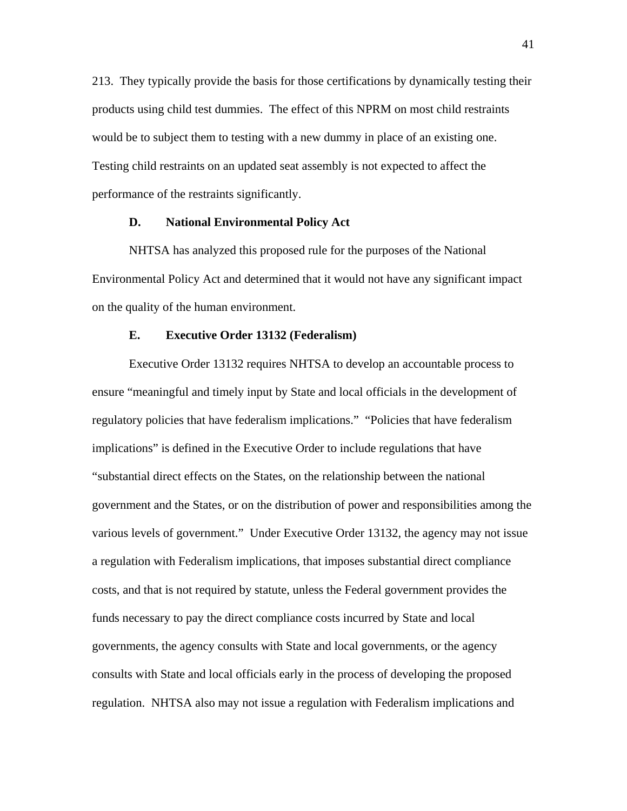213. They typically provide the basis for those certifications by dynamically testing their products using child test dummies. The effect of this NPRM on most child restraints would be to subject them to testing with a new dummy in place of an existing one. Testing child restraints on an updated seat assembly is not expected to affect the performance of the restraints significantly.

## **D. National Environmental Policy Act**

NHTSA has analyzed this proposed rule for the purposes of the National Environmental Policy Act and determined that it would not have any significant impact on the quality of the human environment.

# **E. Executive Order 13132 (Federalism)**

Executive Order 13132 requires NHTSA to develop an accountable process to ensure "meaningful and timely input by State and local officials in the development of regulatory policies that have federalism implications." "Policies that have federalism implications" is defined in the Executive Order to include regulations that have "substantial direct effects on the States, on the relationship between the national government and the States, or on the distribution of power and responsibilities among the various levels of government." Under Executive Order 13132, the agency may not issue a regulation with Federalism implications, that imposes substantial direct compliance costs, and that is not required by statute, unless the Federal government provides the funds necessary to pay the direct compliance costs incurred by State and local governments, the agency consults with State and local governments, or the agency consults with State and local officials early in the process of developing the proposed regulation. NHTSA also may not issue a regulation with Federalism implications and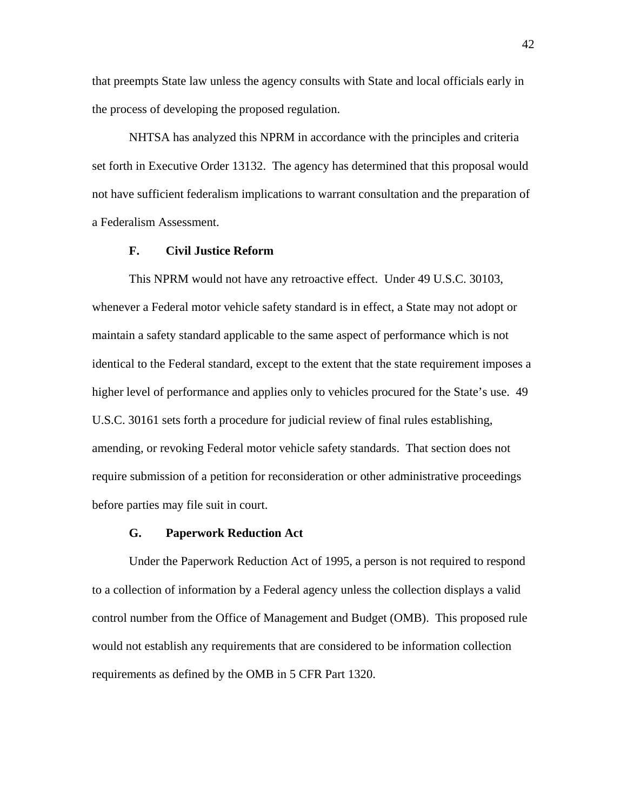that preempts State law unless the agency consults with State and local officials early in the process of developing the proposed regulation.

NHTSA has analyzed this NPRM in accordance with the principles and criteria set forth in Executive Order 13132. The agency has determined that this proposal would not have sufficient federalism implications to warrant consultation and the preparation of a Federalism Assessment.

### **F. Civil Justice Reform**

This NPRM would not have any retroactive effect. Under 49 U.S.C. 30103, whenever a Federal motor vehicle safety standard is in effect, a State may not adopt or maintain a safety standard applicable to the same aspect of performance which is not identical to the Federal standard, except to the extent that the state requirement imposes a higher level of performance and applies only to vehicles procured for the State's use. 49 U.S.C. 30161 sets forth a procedure for judicial review of final rules establishing, amending, or revoking Federal motor vehicle safety standards. That section does not require submission of a petition for reconsideration or other administrative proceedings before parties may file suit in court.

#### **G. Paperwork Reduction Act**

Under the Paperwork Reduction Act of 1995, a person is not required to respond to a collection of information by a Federal agency unless the collection displays a valid control number from the Office of Management and Budget (OMB). This proposed rule would not establish any requirements that are considered to be information collection requirements as defined by the OMB in 5 CFR Part 1320.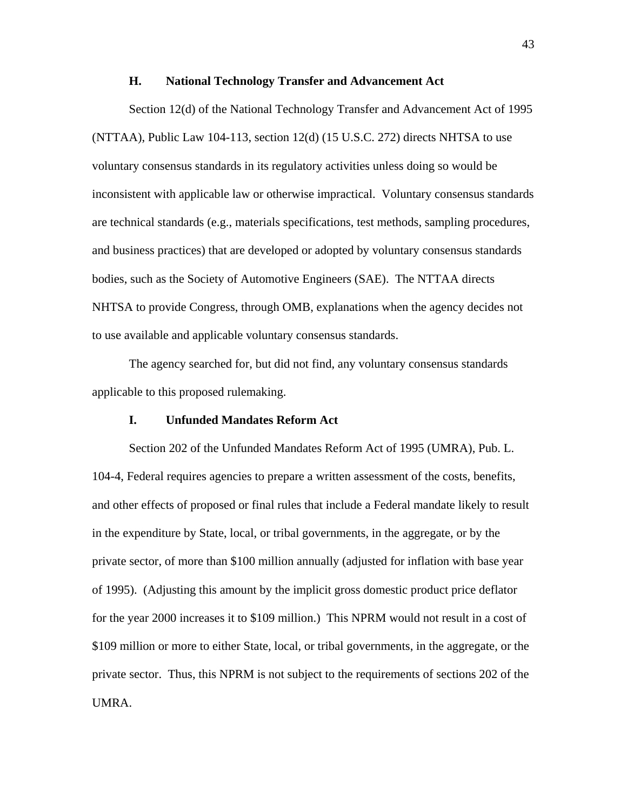#### **H. National Technology Transfer and Advancement Act**

Section 12(d) of the National Technology Transfer and Advancement Act of 1995  $(NTTAA)$ , Public Law 104-113, section 12(d) (15 U.S.C. 272) directs NHTSA to use voluntary consensus standards in its regulatory activities unless doing so would be inconsistent with applicable law or otherwise impractical. Voluntary consensus standards are technical standards (e.g., materials specifications, test methods, sampling procedures, and business practices) that are developed or adopted by voluntary consensus standards bodies, such as the Society of Automotive Engineers (SAE). The NTTAA directs NHTSA to provide Congress, through OMB, explanations when the agency decides not to use available and applicable voluntary consensus standards.

The agency searched for, but did not find, any voluntary consensus standards applicable to this proposed rulemaking.

# **I. Unfunded Mandates Reform Act**

Section 202 of the Unfunded Mandates Reform Act of 1995 (UMRA), Pub. L. 104-4, Federal requires agencies to prepare a written assessment of the costs, benefits, and other effects of proposed or final rules that include a Federal mandate likely to result in the expenditure by State, local, or tribal governments, in the aggregate, or by the private sector, of more than \$100 million annually (adjusted for inflation with base year of 1995). (Adjusting this amount by the implicit gross domestic product price deflator for the year 2000 increases it to \$109 million.) This NPRM would not result in a cost of \$109 million or more to either State, local, or tribal governments, in the aggregate, or the private sector. Thus, this NPRM is not subject to the requirements of sections 202 of the UMRA.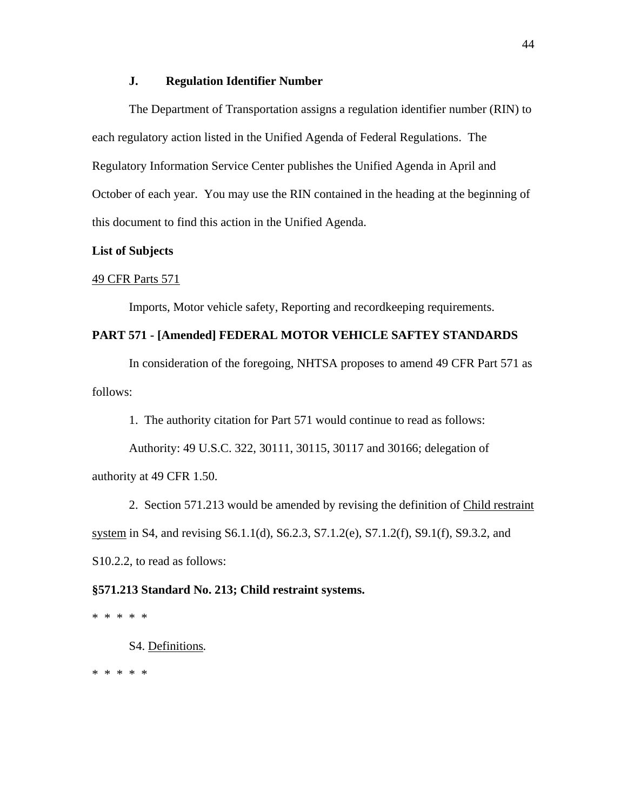## **J. Regulation Identifier Number**

The Department of Transportation assigns a regulation identifier number (RIN) to each regulatory action listed in the Unified Agenda of Federal Regulations. The Regulatory Information Service Center publishes the Unified Agenda in April and October of each year. You may use the RIN contained in the heading at the beginning of this document to find this action in the Unified Agenda.

# **List of Subjects**

#### 49 CFR Parts 571

Imports, Motor vehicle safety, Reporting and recordkeeping requirements.

# **PART 571 - [Amended] FEDERAL MOTOR VEHICLE SAFTEY STANDARDS**

In consideration of the foregoing, NHTSA proposes to amend 49 CFR Part 571 as follows:

1. The authority citation for Part 571 would continue to read as follows:

Authority: 49 U.S.C. 322, 30111, 30115, 30117 and 30166; delegation of authority at 49 CFR 1.50.

2. Section 571.213 would be amended by revising the definition of Child restraint system in S4, and revising S6.1.1(d), S6.2.3, S7.1.2(e), S7.1.2(f), S9.1(f), S9.3.2, and S10.2.2, to read as follows:

#### **§571.213 Standard No. 213; Child restraint systems.**

\* \* \* \* \*

S4. Definitions*.*

\* \* \* \* \*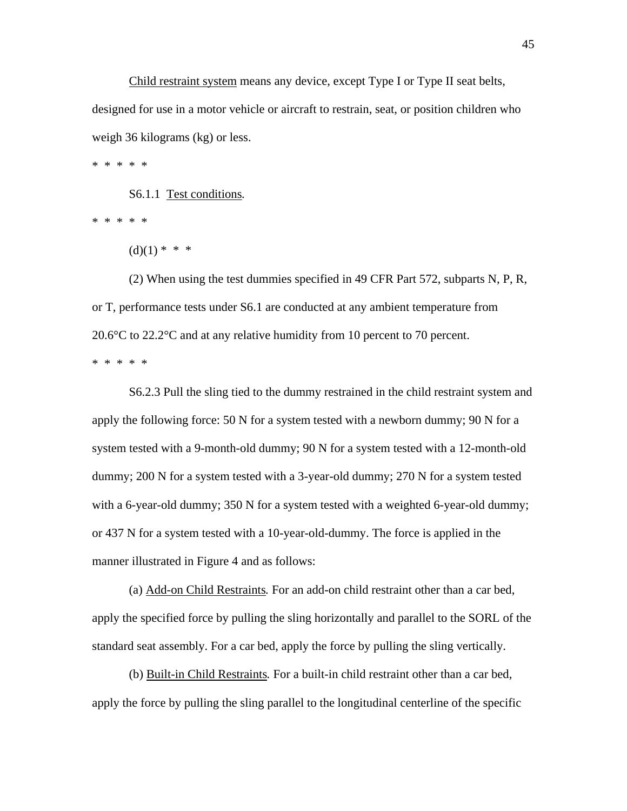Child restraint system means any device, except Type I or Type II seat belts, designed for use in a motor vehicle or aircraft to restrain, seat, or position children who weigh 36 kilograms (kg) or less.

\* \* \* \* \*

S6.1.1 Test conditions*.*

\* \* \* \* \*

 $(d)(1) * * * *$ 

(2) When using the test dummies specified in 49 CFR Part 572, subparts N, P, R, or T, performance tests under S6.1 are conducted at any ambient temperature from 20.6 $\degree$ C to 22.2 $\degree$ C and at any relative humidity from 10 percent to 70 percent. \* \* \* \* \*

S6.2.3 Pull the sling tied to the dummy restrained in the child restraint system and apply the following force: 50 N for a system tested with a newborn dummy; 90 N for a system tested with a 9-month-old dummy; 90 N for a system tested with a 12-month-old dummy; 200 N for a system tested with a 3-year-old dummy; 270 N for a system tested with a 6-year-old dummy; 350 N for a system tested with a weighted 6-year-old dummy; or 437 N for a system tested with a 10-year-old-dummy. The force is applied in the manner illustrated in Figure 4 and as follows:

(a) Add-on Child Restraints*.* For an add-on child restraint other than a car bed, apply the specified force by pulling the sling horizontally and parallel to the SORL of the standard seat assembly. For a car bed, apply the force by pulling the sling vertically.

(b) Built-in Child Restraints*.* For a built-in child restraint other than a car bed, apply the force by pulling the sling parallel to the longitudinal centerline of the specific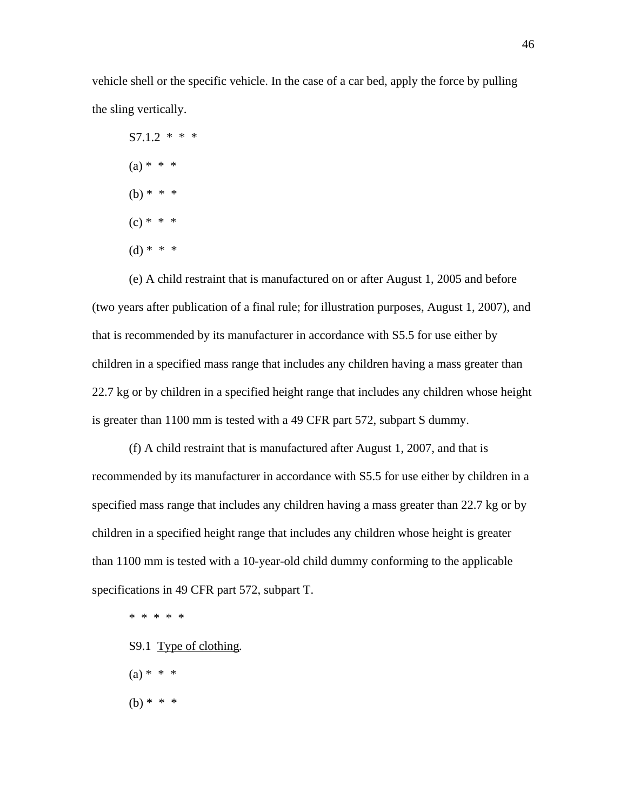vehicle shell or the specific vehicle. In the case of a car bed, apply the force by pulling the sling vertically.

 $S7.1.2$  \* \* \*  $(a) * * * *$ (b)  $* * * *$  $(c) * * * *$  $(d) * * * *$ 

(e) A child restraint that is manufactured on or after August 1, 2005 and before (two years after publication of a final rule; for illustration purposes, August 1, 2007), and that is recommended by its manufacturer in accordance with S5.5 for use either by children in a specified mass range that includes any children having a mass greater than 22.7 kg or by children in a specified height range that includes any children whose height is greater than 1100 mm is tested with a 49 CFR part 572, subpart S dummy.

(f) A child restraint that is manufactured after August 1, 2007, and that is recommended by its manufacturer in accordance with S5.5 for use either by children in a specified mass range that includes any children having a mass greater than 22.7 kg or by children in a specified height range that includes any children whose height is greater than 1100 mm is tested with a 10-year-old child dummy conforming to the applicable specifications in 49 CFR part 572, subpart T.

\* \* \* \* \*

- S9.1 Type of clothing*.*
- $(a) * * * *$
- (b) \* \* \*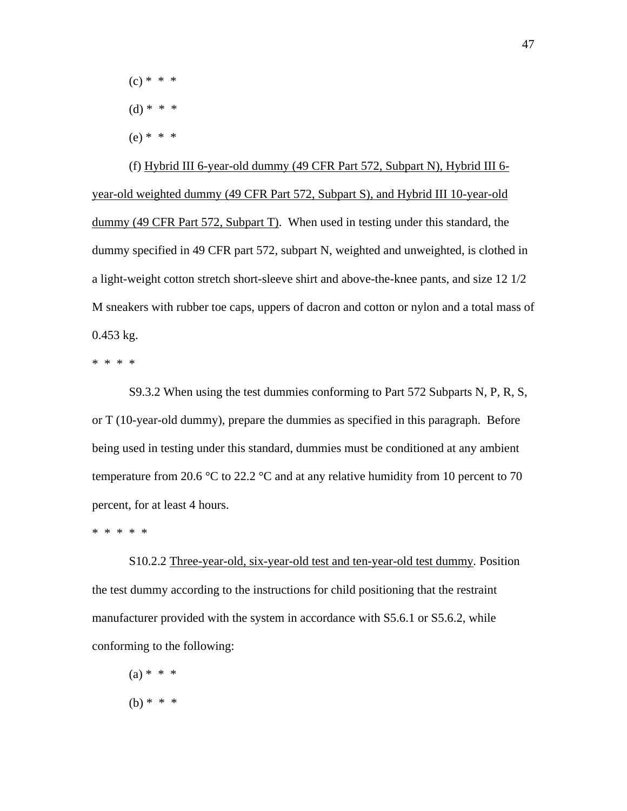$(c) * * * *$ 

- $(d) * * * *$
- $(e) * * * *$

(f) Hybrid III 6-year-old dummy (49 CFR Part 572, Subpart N), Hybrid III 6 year-old weighted dummy (49 CFR Part 572, Subpart S), and Hybrid III 10-year-old dummy (49 CFR Part 572, Subpart T). When used in testing under this standard, the dummy specified in 49 CFR part 572, subpart N, weighted and unweighted, is clothed in a light-weight cotton stretch short-sleeve shirt and above-the-knee pants, and size 12 1/2 M sneakers with rubber toe caps, uppers of dacron and cotton or nylon and a total mass of 0.453 kg.

\* \* \* \*

S9.3.2 When using the test dummies conforming to Part 572 Subparts N, P, R, S, or T (10-year-old dummy), prepare the dummies as specified in this paragraph. Before being used in testing under this standard, dummies must be conditioned at any ambient temperature from 20.6  $\degree$ C to 22.2  $\degree$ C and at any relative humidity from 10 percent to 70 percent, for at least 4 hours.

\* \* \* \* \*

S10.2.2 Three-year-old, six-year-old test and ten-year-old test dummy*.* Position the test dummy according to the instructions for child positioning that the restraint manufacturer provided with the system in accordance with S5.6.1 or S5.6.2, while conforming to the following:

 $(a) * * * *$ 

47

(b) \* \* \*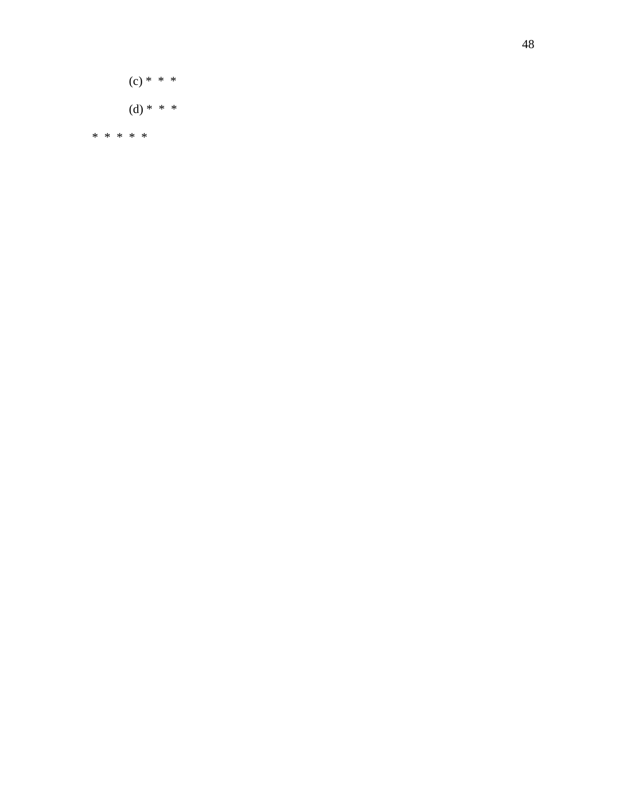$(c) * * *$ (d) \* \* \*

\* \* \* \* \*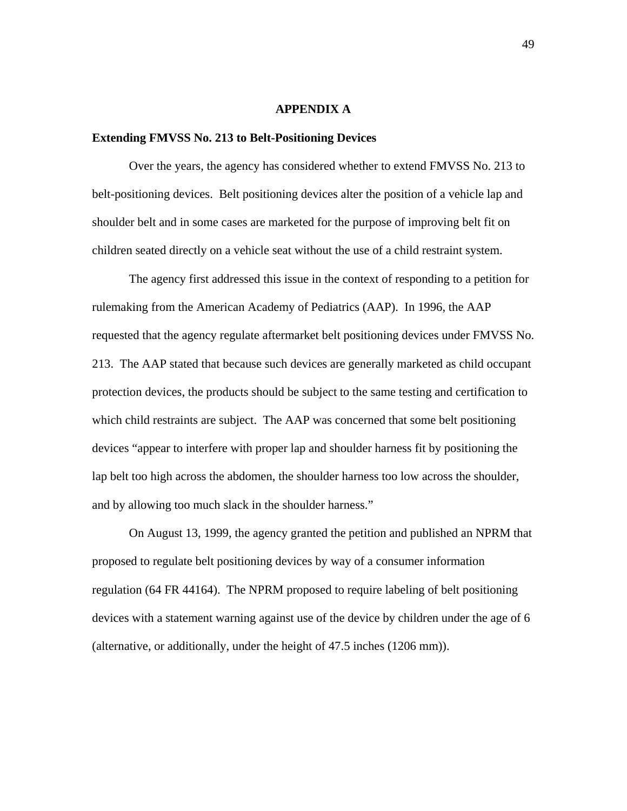## **APPENDIX A**

## **Extending FMVSS No. 213 to Belt-Positioning Devices**

 Over the years, the agency has considered whether to extend FMVSS No. 213 to belt-positioning devices. Belt positioning devices alter the position of a vehicle lap and shoulder belt and in some cases are marketed for the purpose of improving belt fit on children seated directly on a vehicle seat without the use of a child restraint system.

The agency first addressed this issue in the context of responding to a petition for rulemaking from the American Academy of Pediatrics (AAP). In 1996, the AAP requested that the agency regulate aftermarket belt positioning devices under FMVSS No. 213. The AAP stated that because such devices are generally marketed as child occupant protection devices, the products should be subject to the same testing and certification to which child restraints are subject. The AAP was concerned that some belt positioning devices "appear to interfere with proper lap and shoulder harness fit by positioning the lap belt too high across the abdomen, the shoulder harness too low across the shoulder, and by allowing too much slack in the shoulder harness."

On August 13, 1999, the agency granted the petition and published an NPRM that proposed to regulate belt positioning devices by way of a consumer information regulation (64 FR 44164). The NPRM proposed to require labeling of belt positioning devices with a statement warning against use of the device by children under the age of 6 (alternative, or additionally, under the height of 47.5 inches (1206 mm)).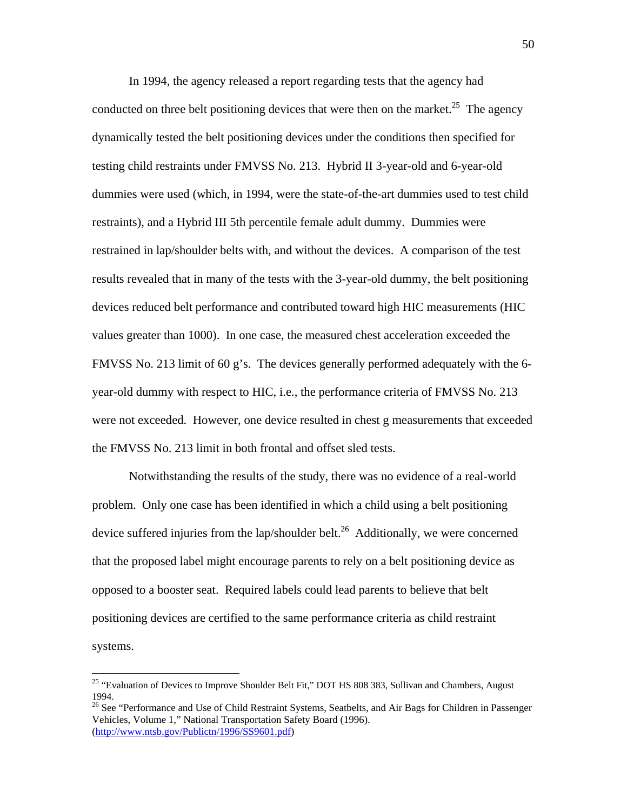In 1994, the agency released a report regarding tests that the agency had conducted on three belt positioning devices that were then on the market.<sup>25</sup> The agency dynamically tested the belt positioning devices under the conditions then specified for testing child restraints under FMVSS No. 213. Hybrid II 3-year-old and 6-year-old dummies were used (which, in 1994, were the state-of-the-art dummies used to test child restraints), and a Hybrid III 5th percentile female adult dummy. Dummies were restrained in lap/shoulder belts with, and without the devices. A comparison of the test results revealed that in many of the tests with the 3-year-old dummy, the belt positioning devices reduced belt performance and contributed toward high HIC measurements (HIC values greater than 1000). In one case, the measured chest acceleration exceeded the FMVSS No. 213 limit of 60 g's. The devices generally performed adequately with the 6 year-old dummy with respect to HIC, i.e., the performance criteria of FMVSS No. 213 were not exceeded. However, one device resulted in chest g measurements that exceeded the FMVSS No. 213 limit in both frontal and offset sled tests.

 Notwithstanding the results of the study, there was no evidence of a real-world problem. Only one case has been identified in which a child using a belt positioning device suffered injuries from the lap/shoulder belt.<sup>26</sup> Additionally, we were concerned that the proposed label might encourage parents to rely on a belt positioning device as opposed to a booster seat. Required labels could lead parents to believe that belt positioning devices are certified to the same performance criteria as child restraint systems.

<u>.</u>

<span id="page-49-0"></span><sup>&</sup>lt;sup>25</sup> "Evaluation of Devices to Improve Shoulder Belt Fit," DOT HS 808 383, Sullivan and Chambers, August 1994.

<span id="page-49-1"></span><sup>&</sup>lt;sup>26</sup> See "Performance and Use of Child Restraint Systems, Seatbelts, and Air Bags for Children in Passenger Vehicles, Volume 1," National Transportation Safety Board (1996). [\(http://www.ntsb.gov/Publictn/1996/SS9601.pdf](http://www.ntsb.gov/Publictn/1996/SS9601.pdf))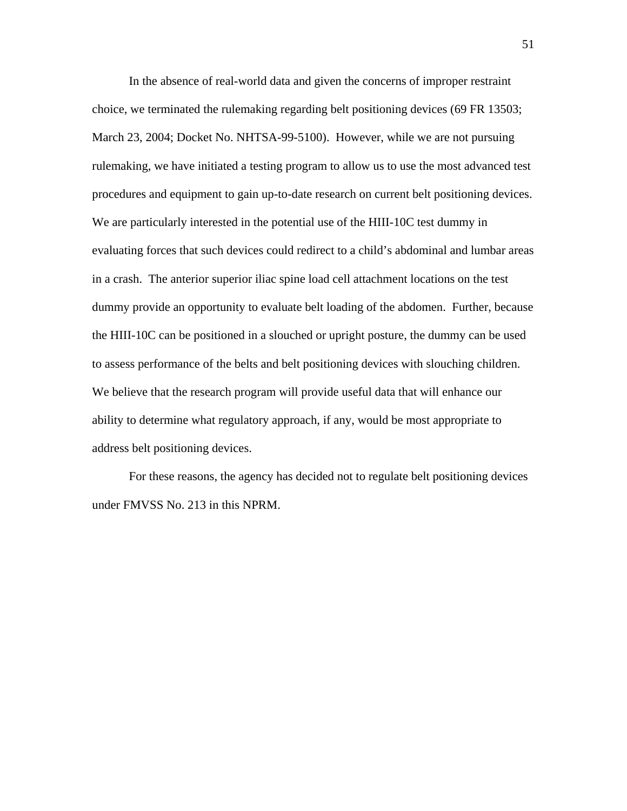In the absence of real-world data and given the concerns of improper restraint choice, we terminated the rulemaking regarding belt positioning devices (69 FR 13503; March 23, 2004; Docket No. NHTSA-99-5100). However, while we are not pursuing rulemaking, we have initiated a testing program to allow us to use the most advanced test procedures and equipment to gain up-to-date research on current belt positioning devices. We are particularly interested in the potential use of the HIII-10C test dummy in evaluating forces that such devices could redirect to a child's abdominal and lumbar areas in a crash. The anterior superior iliac spine load cell attachment locations on the test dummy provide an opportunity to evaluate belt loading of the abdomen. Further, because the HIII-10C can be positioned in a slouched or upright posture, the dummy can be used to assess performance of the belts and belt positioning devices with slouching children. We believe that the research program will provide useful data that will enhance our ability to determine what regulatory approach, if any, would be most appropriate to address belt positioning devices.

For these reasons, the agency has decided not to regulate belt positioning devices under FMVSS No. 213 in this NPRM.